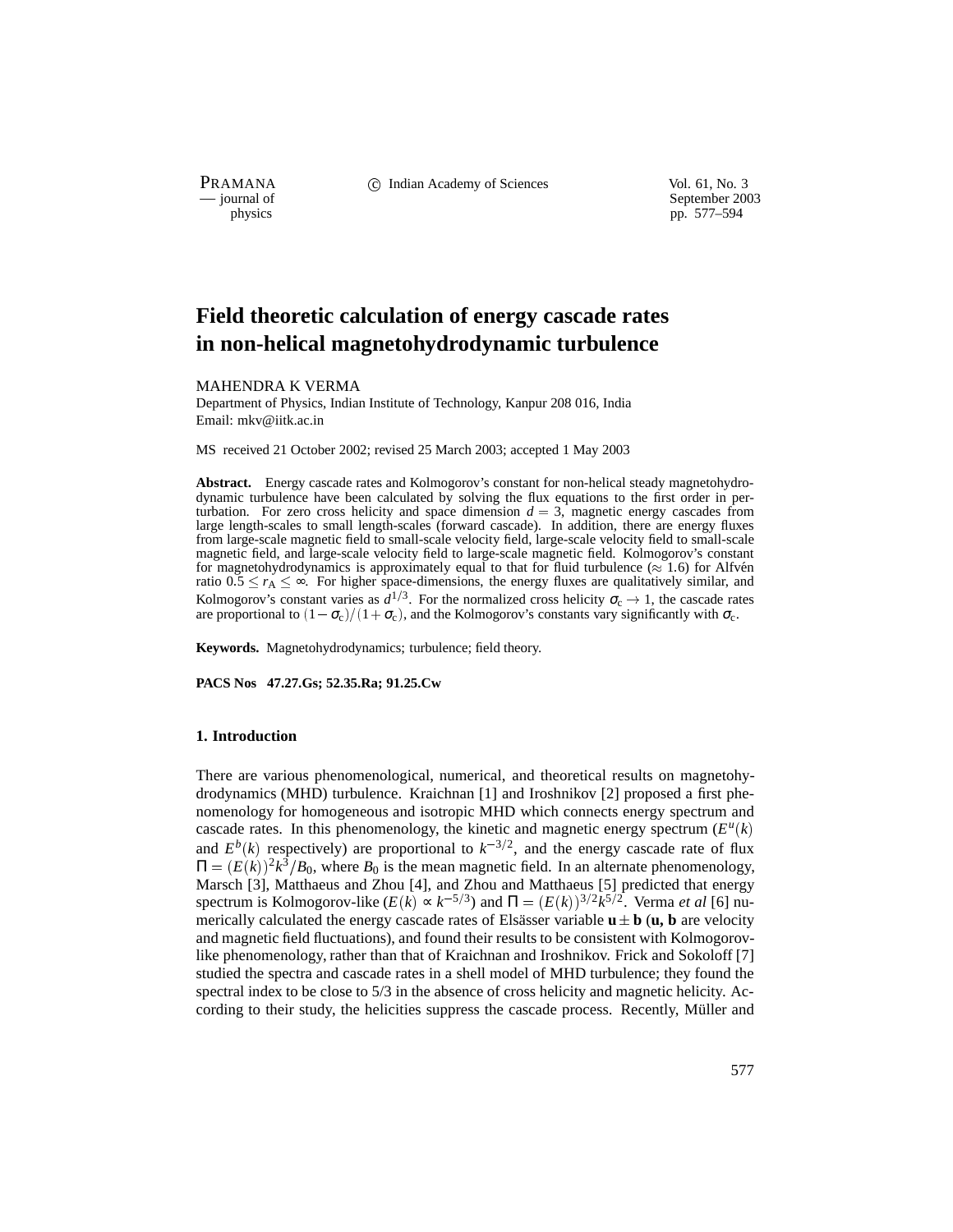PRAMANA C Indian Academy of Sciences Vol. 61, No. 3<br>
— journal of September 200

physics<br>
a physics<br>
pp. 577–594<br>
pp. 577–594 pp. 577–594

# **Field theoretic calculation of energy cascade rates in non-helical magnetohydrodynamic turbulence**

#### MAHENDRA K VERMA

Department of Physics, Indian Institute of Technology, Kanpur 208 016, India Email: mkv@iitk.ac.in

MS received 21 October 2002; revised 25 March 2003; accepted 1 May 2003

**Abstract.** Energy cascade rates and Kolmogorov's constant for non-helical steady magnetohydrodynamic turbulence have been calculated by solving the flux equations to the first order in perturbation. For zero cross helicity and space dimension  $d = 3$ , magnetic energy cascades from large length-scales to small length-scales (forward cascade). In addition, there are energy fluxes from large-scale magnetic field to small-scale velocity field, large-scale velocity field to small-scale magnetic field, and large-scale velocity field to large-scale magnetic field. Kolmogorov's constant for magnetohydrodynamics is approximately equal to that for fluid turbulence ( $\approx 1.6$ ) for Alfvén ratio  $0.5 \le r_A \le \infty$ . For higher space-dimensions, the energy fluxes are qualitatively similar, and Kolmogorov's constant varies as  $d^{1/3}$ . For the normalized cross helicity  $\sigma_c \to 1$ , the cascade rates are proportional to  $(1 - \sigma_c)/(1 + \sigma_c)$ , and the Kolmogorov's constants vary significantly with  $\sigma_c$ .

**Keywords.** Magnetohydrodynamics; turbulence; field theory.

**PACS Nos 47.27.Gs; 52.35.Ra; 91.25.Cw**

## **1. Introduction**

There are various phenomenological, numerical, and theoretical results on magnetohydrodynamics (MHD) turbulence. Kraichnan [1] and Iroshnikov [2] proposed a first phenomenology for homogeneous and isotropic MHD which connects energy spectrum and cascade rates. In this phenomenology, the kinetic and magnetic energy spectrum  $(E^u(k))$ and  $E^{b}(k)$  respectively) are proportional to  $k^{-3/2}$ , and the energy cascade rate of flux  $\Pi = (E(k))^2 k^3 / B_0$ , where  $B_0$  is the mean magnetic field. In an alternate phenomenology, Marsch [3], Matthaeus and Zhou [4], and Zhou and Matthaeus [5] predicted that energy spectrum is Kolmogorov-like  $(E(k) \propto k^{-5/3})$  and  $\Pi = (E(k))^{3/2} k^{5/2}$ . Verma *et al* [6] numerically calculated the energy cascade rates of Elsässer variable  $\mathbf{u} \pm \mathbf{b}$  ( $\mathbf{u}, \mathbf{b}$  are velocity and magnetic field fluctuations), and found their results to be consistent with Kolmogorovlike phenomenology, rather than that of Kraichnan and Iroshnikov. Frick and Sokoloff [7] studied the spectra and cascade rates in a shell model of MHD turbulence; they found the spectral index to be close to 5/3 in the absence of cross helicity and magnetic helicity. According to their study, the helicities suppress the cascade process. Recently, Müller and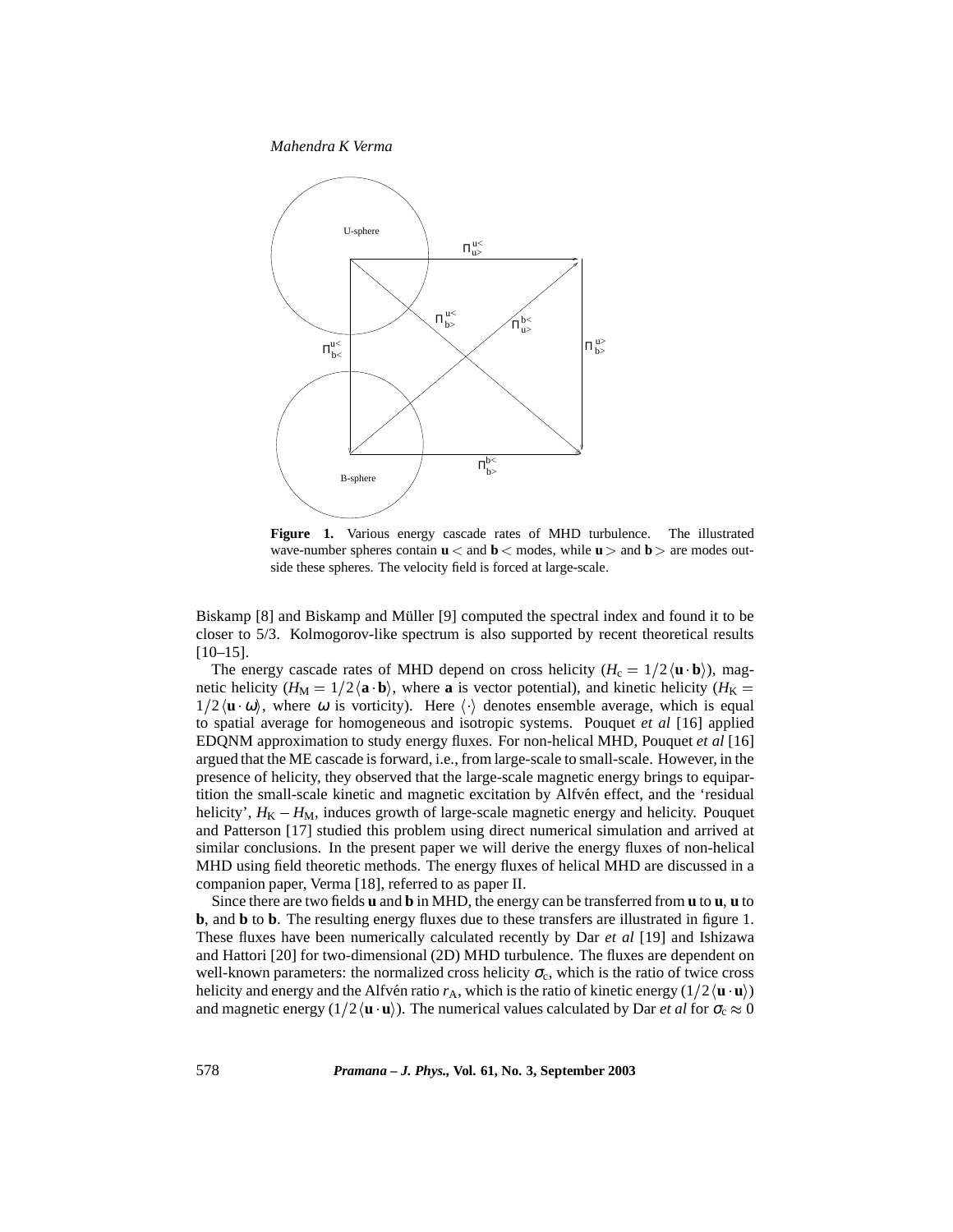

**Figure 1.** Various energy cascade rates of MHD turbulence. The illustrated wave-number spheres contain  $\mathbf{u} \leq \text{and } \mathbf{b} \leq \text{modes},$  while  $\mathbf{u} \geq \text{and } \mathbf{b} \geq \text{are modes}$  outside these spheres. The velocity field is forced at large-scale.

Biskamp [8] and Biskamp and Müller [9] computed the spectral index and found it to be closer to 5/3. Kolmogorov-like spectrum is also supported by recent theoretical results [10–15].

The energy cascade rates of MHD depend on cross helicity  $(H_c = 1/2 \langle \mathbf{u} \cdot \mathbf{b} \rangle)$ , magnetic helicity ( $H_M = 1/2$   $\langle \mathbf{a} \cdot \mathbf{b} \rangle$ , where **a** is vector potential), and kinetic helicity ( $H_K =$  $1/2 \langle u \, \omega \rangle$ , where  $\omega$  is vorticity). Here  $\langle \cdot \rangle$  denotes ensemble average, which is equal to spatial average for homogeneous and isotropic systems. Pouquet *et al* [16] applied EDQNM approximation to study energy fluxes. For non-helical MHD, Pouquet *et al* [16] argued that the ME cascade is forward, i.e., from large-scale to small-scale. However, in the presence of helicity, they observed that the large-scale magnetic energy brings to equipartition the small-scale kinetic and magnetic excitation by Alfvén effect, and the 'residual helicity',  $H_K - H_M$ , induces growth of large-scale magnetic energy and helicity. Pouquet and Patterson [17] studied this problem using direct numerical simulation and arrived at similar conclusions. In the present paper we will derive the energy fluxes of non-helical MHD using field theoretic methods. The energy fluxes of helical MHD are discussed in a companion paper, Verma [18], referred to as paper II.

Since there are two fields **u** and **b** in MHD, the energy can be transferred from **u** to **u**, **u** to **b**, and **b** to **b**. The resulting energy fluxes due to these transfers are illustrated in figure 1. These fluxes have been numerically calculated recently by Dar *et al* [19] and Ishizawa and Hattori [20] for two-dimensional (2D) MHD turbulence. The fluxes are dependent on well-known parameters: the normalized cross helicity  $\sigma_c$ , which is the ratio of twice cross helicity and energy and the Alfvén ratio  $r_A$ , which is the ratio of kinetic energy ( $1/2 \langle \mathbf{u} \cdot \mathbf{u} \rangle$ ) and magnetic energy  $(1/2 \langle \mathbf{u} \cdot \mathbf{u} \rangle)$ . The numerical values calculated by Dar *et al* for  $\sigma_c \approx 0$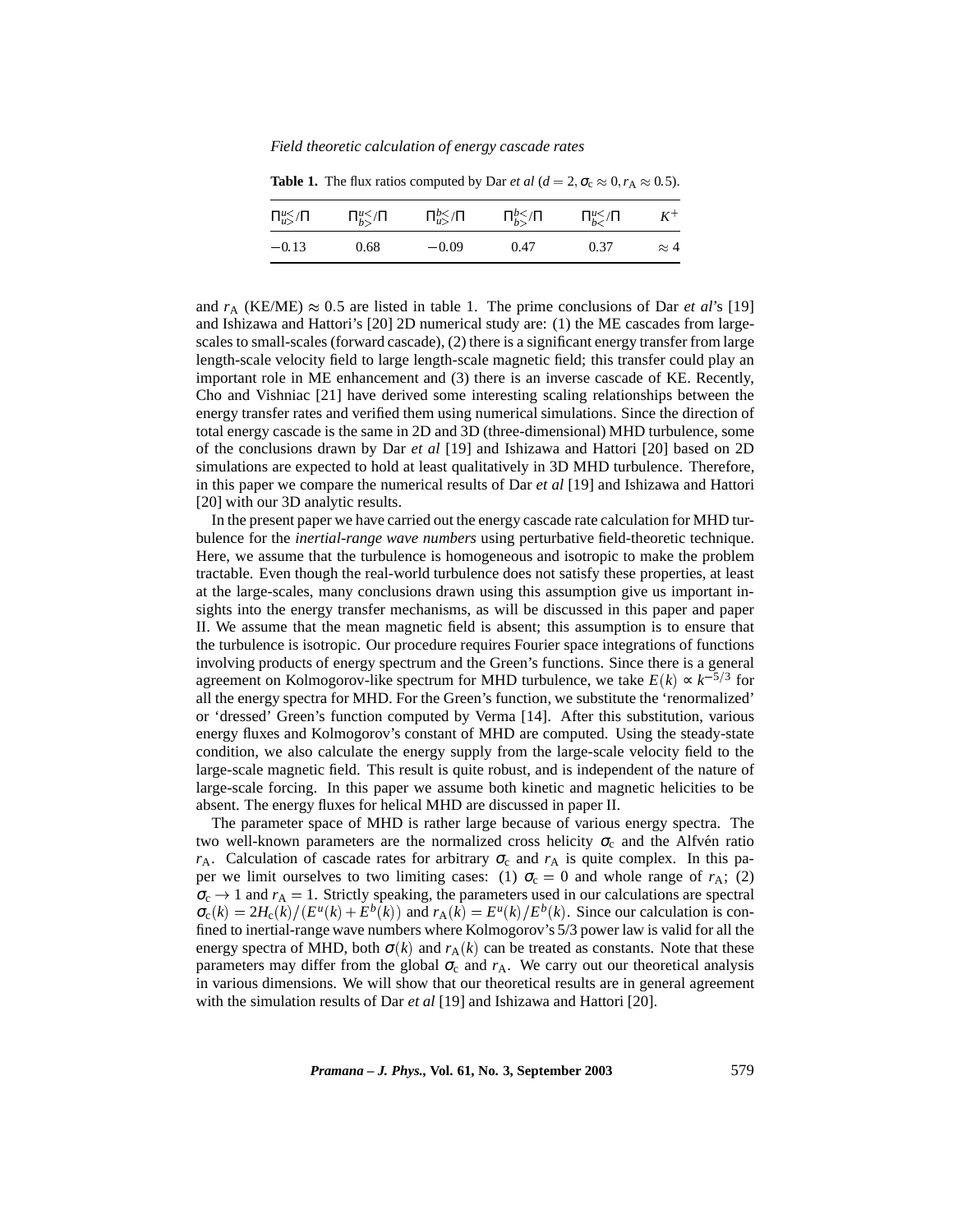*Field theoretic calculation of energy cascade rates*

|         | $\Pi_{u>u}^{u\leq}\Pi$ $\Pi_{h>}^{u\leq}\Pi$ $\Pi_{u>}^{b\leq}\Pi$ $\Pi_{h>}^{b\leq}\Pi$ $\Pi_{h}^{u\leq}\Pi$ $K^+$ |      |      |             |
|---------|---------------------------------------------------------------------------------------------------------------------|------|------|-------------|
| $-0.13$ | $0.68$ $-0.09$                                                                                                      | 0.47 | 0.37 | $\approx 4$ |

**Table 1.** The flux ratios computed by Dar *et al* ( $d = 2$ ,  $\sigma_c \approx 0$ ,  $r_A \approx 0.5$ ).

and  $r_A$  (KE/ME)  $\approx 0.5$  are listed in table 1. The prime conclusions of Dar *et al*'s [19] and Ishizawa and Hattori's [20] 2D numerical study are: (1) the ME cascades from largescales to small-scales (forward cascade), (2) there is a significant energy transfer from large length-scale velocity field to large length-scale magnetic field; this transfer could play an important role in ME enhancement and (3) there is an inverse cascade of KE. Recently, Cho and Vishniac [21] have derived some interesting scaling relationships between the energy transfer rates and verified them using numerical simulations. Since the direction of total energy cascade is the same in 2D and 3D (three-dimensional) MHD turbulence, some of the conclusions drawn by Dar *et al* [19] and Ishizawa and Hattori [20] based on 2D simulations are expected to hold at least qualitatively in 3D MHD turbulence. Therefore, in this paper we compare the numerical results of Dar *et al* [19] and Ishizawa and Hattori [20] with our 3D analytic results.

In the present paper we have carried out the energy cascade rate calculation for MHD turbulence for the *inertial-range wave numbers* using perturbative field-theoretic technique. Here, we assume that the turbulence is homogeneous and isotropic to make the problem tractable. Even though the real-world turbulence does not satisfy these properties, at least at the large-scales, many conclusions drawn using this assumption give us important insights into the energy transfer mechanisms, as will be discussed in this paper and paper II. We assume that the mean magnetic field is absent; this assumption is to ensure that the turbulence is isotropic. Our procedure requires Fourier space integrations of functions involving products of energy spectrum and the Green's functions. Since there is a general agreement on Kolmogorov-like spectrum for MHD turbulence, we take  $E(k) \propto k^{-5/3}$  for all the energy spectra for MHD. For the Green's function, we substitute the 'renormalized' or 'dressed' Green's function computed by Verma [14]. After this substitution, various energy fluxes and Kolmogorov's constant of MHD are computed. Using the steady-state condition, we also calculate the energy supply from the large-scale velocity field to the large-scale magnetic field. This result is quite robust, and is independent of the nature of large-scale forcing. In this paper we assume both kinetic and magnetic helicities to be absent. The energy fluxes for helical MHD are discussed in paper II.

The parameter space of MHD is rather large because of various energy spectra. The two well-known parameters are the normalized cross helicity  $\sigma_c$  and the Alfvén ratio  $r_A$ . Calculation of cascade rates for arbitrary  $\sigma_c$  and  $r_A$  is quite complex. In this paper we limit ourselves to two limiting cases: (1)  $\sigma_c = 0$  and whole range of  $r_A$ ; (2)  $\sigma_c \rightarrow 1$  and  $r_A = 1$ . Strictly speaking, the parameters used in our calculations are spectral  $\sigma_c(k) = 2H_c(k)/(E^u(k) + E^b(k))$  and  $r_A(k) = E^u(k)/E^b(k)$ . Since our calculation is confined to inertial-range wave numbers where Kolmogorov's 5/3 power law is valid for all the energy spectra of MHD, both  $\sigma(k)$  and  $r_A(k)$  can be treated as constants. Note that these parameters may differ from the global  $\sigma_c$  and  $r_A$ . We carry out our theoretical analysis in various dimensions. We will show that our theoretical results are in general agreement with the simulation results of Dar *et al* [19] and Ishizawa and Hattori [20].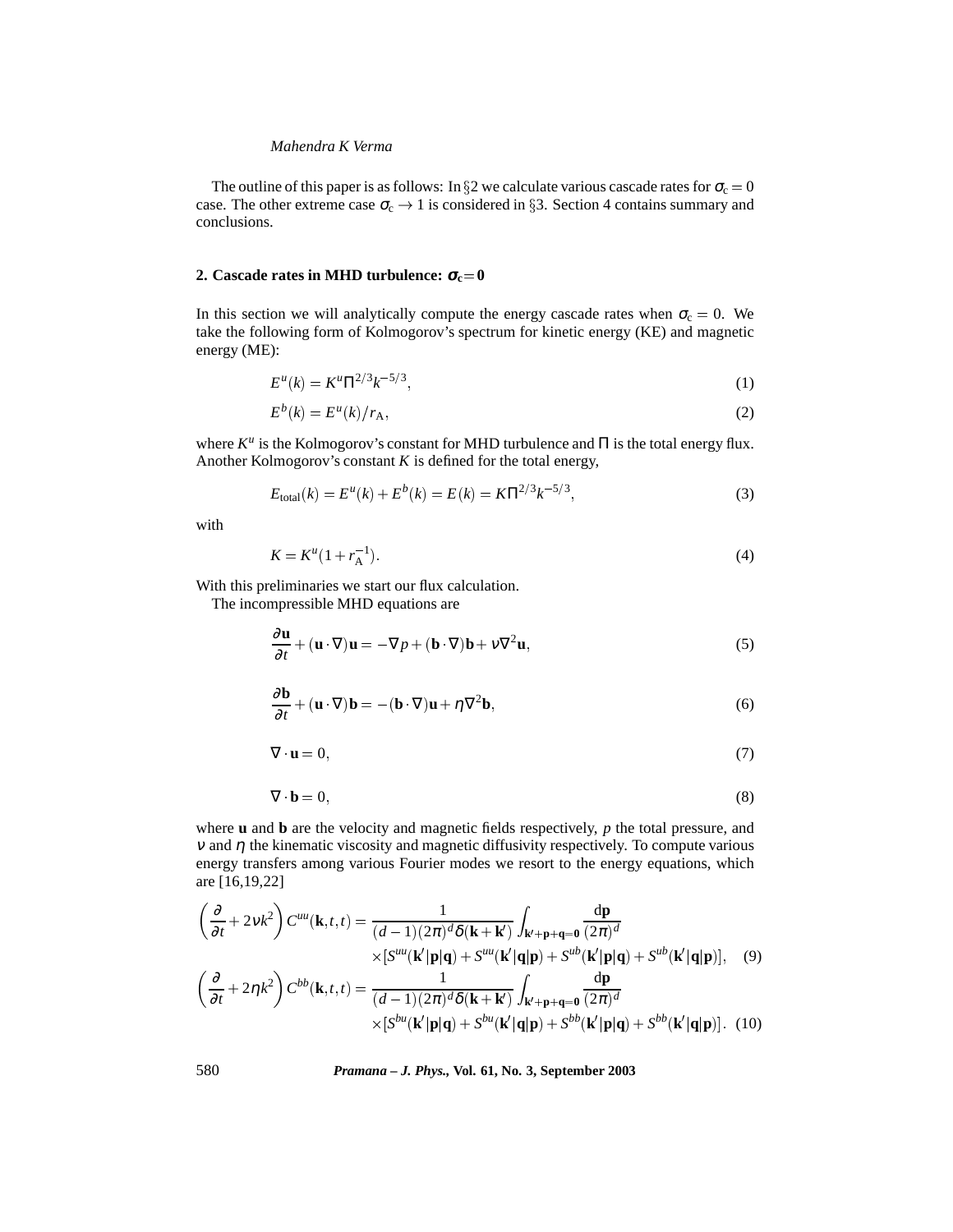The outline of this paper is as follows: In  $\S$ 2 we calculate various cascade rates for  $\sigma_c = 0$ case. The other extreme case  $\sigma_c \rightarrow 1$  is considered in §3. Section 4 contains summary and conclusions.

# **2.** Cascade rates in MHD turbulence:  $\sigma_c = 0$

In this section we will analytically compute the energy cascade rates when  $\sigma_c = 0$ . We take the following form of Kolmogorov's spectrum for kinetic energy (KE) and magnetic energy (ME):

$$
E^{u}(k) = K^{u} \Pi^{2/3} k^{-5/3}, \tag{1}
$$

$$
E^b(k) = E^u(k)/r_A,
$$
\n<sup>(2)</sup>

where *K<sup>u</sup>* is the Kolmogorov's constant for MHD turbulence and Π is the total energy flux. Another Kolmogorov's constant  $K$  is defined for the total energy,

$$
E_{\text{total}}(k) = E^{u}(k) + E^{b}(k) = E(k) = K\Pi^{2/3}k^{-5/3},
$$
\n(3)

with

$$
K = K^u (1 + r_A^{-1}).
$$
\n(4)

With this preliminaries we start our flux calculation.

The incompressible MHD equations are

$$
\frac{\partial \mathbf{u}}{\partial t} + (\mathbf{u} \cdot \nabla) \mathbf{u} = -\nabla p + (\mathbf{b} \cdot \nabla) \mathbf{b} + \nu \nabla^2 \mathbf{u},\tag{5}
$$

$$
\frac{\partial \mathbf{b}}{\partial t} + (\mathbf{u} \cdot \nabla)\mathbf{b} = -(\mathbf{b} \cdot \nabla)\mathbf{u} + \eta \nabla^2 \mathbf{b},\tag{6}
$$

$$
\nabla \cdot \mathbf{u} = 0,\tag{7}
$$

$$
\nabla \cdot \mathbf{b} = 0,\tag{8}
$$

where **u** and **b** are the velocity and magnetic fields respectively, *p* the total pressure, and <sup>ν</sup> and η the kinematic viscosity and magnetic diffusivity respectively. To compute various energy transfers among various Fourier modes we resort to the energy equations, which are [16,19,22]

$$
\left(\frac{\partial}{\partial t} + 2vk^2\right) C^{uu}(\mathbf{k}, t, t) = \frac{1}{(d-1)(2\pi)^d \delta(\mathbf{k} + \mathbf{k}')} \int_{\mathbf{k}' + \mathbf{p} + \mathbf{q} = \mathbf{0}} \frac{d\mathbf{p}}{(2\pi)^d}
$$
  
 
$$
\times [S^{uu}(\mathbf{k}'|\mathbf{p}|\mathbf{q}) + S^{uu}(\mathbf{k}'|\mathbf{q}|\mathbf{p}) + S^{ub}(\mathbf{k}'|\mathbf{p}|\mathbf{q}) + S^{ub}(\mathbf{k}'|\mathbf{q}|\mathbf{p})], \quad (9)
$$
  

$$
\left(\frac{\partial}{\partial t} + 2\eta k^2\right) C^{bb}(\mathbf{k}, t, t) = \frac{1}{(d-1)(2\pi)^d \delta(\mathbf{k} + \mathbf{k}')} \int_{\mathbf{k}' + \mathbf{p} + \mathbf{q} = \mathbf{0}} \frac{d\mathbf{p}}{(2\pi)^d}
$$
  

$$
\times [S^{bu}(\mathbf{k}'|\mathbf{p}|\mathbf{q}) + S^{bu}(\mathbf{k}'|\mathbf{q}|\mathbf{p}) + S^{bb}(\mathbf{k}'|\mathbf{p}|\mathbf{q}) + S^{bb}(\mathbf{k}'|\mathbf{q}|\mathbf{p})]. \quad (10)
$$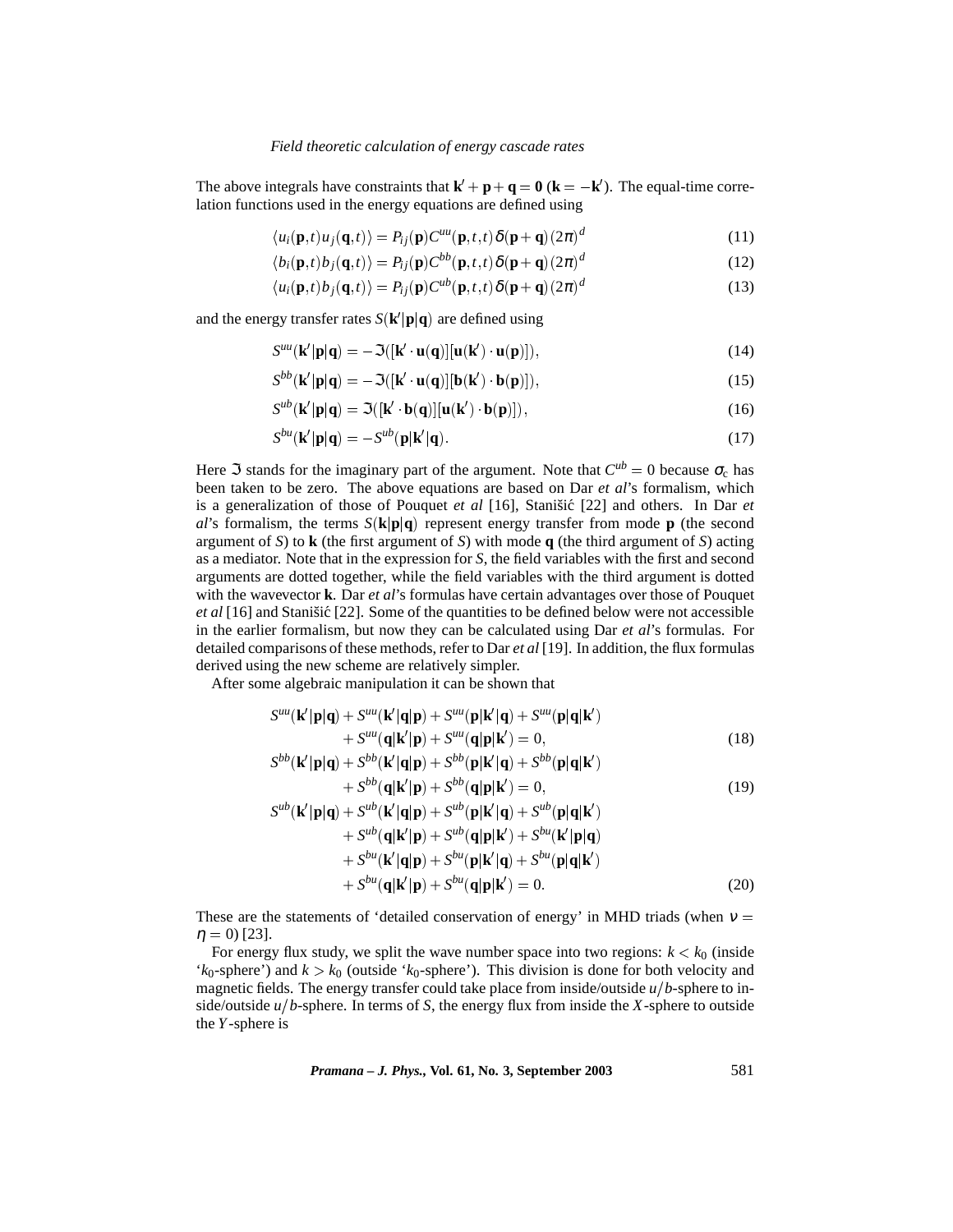The above integrals have constraints that  $\mathbf{k}' + \mathbf{p} + \mathbf{q} = \mathbf{0}$  ( $\mathbf{k} = -\mathbf{k}'$ ). The equal-time correlation functions used in the energy equations are defined using

$$
\langle u_i(\mathbf{p},t)u_j(\mathbf{q},t)\rangle = P_{ij}(\mathbf{p})C^{uu}(\mathbf{p},t,t)\delta(\mathbf{p}+\mathbf{q})(2\pi)^d
$$
\n(11)

$$
\langle b_i(\mathbf{p},t)b_j(\mathbf{q},t)\rangle = P_{ij}(\mathbf{p})C^{bb}(\mathbf{p},t,t)\delta(\mathbf{p}+\mathbf{q})(2\pi)^d
$$
\n(12)

$$
\langle u_i(\mathbf{p},t)b_j(\mathbf{q},t)\rangle = P_{ij}(\mathbf{p})C^{ub}(\mathbf{p},t,t)\delta(\mathbf{p}+\mathbf{q})(2\pi)^d
$$
\n(13)

and the energy transfer rates  $S(k'|\mathbf{p}|\mathbf{q})$  are defined using

$$
S^{uu}(\mathbf{k}'|\mathbf{p}|\mathbf{q}) = -\Im([\mathbf{k}' \cdot \mathbf{u}(\mathbf{q})][\mathbf{u}(\mathbf{k}') \cdot \mathbf{u}(\mathbf{p})]),\tag{14}
$$

$$
S^{bb}(\mathbf{k}'|\mathbf{p}|\mathbf{q}) = -\Im([\mathbf{k}' \cdot \mathbf{u}(\mathbf{q})][\mathbf{b}(\mathbf{k}') \cdot \mathbf{b}(\mathbf{p})]),\tag{15}
$$

$$
S^{ub}(\mathbf{k}'|\mathbf{p}|\mathbf{q}) = \Im([\mathbf{k}' \cdot \mathbf{b}(\mathbf{q})][\mathbf{u}(\mathbf{k}') \cdot \mathbf{b}(\mathbf{p})]),\tag{16}
$$

$$
S^{bu}(\mathbf{k}'|\mathbf{p}|\mathbf{q}) = -S^{ub}(\mathbf{p}|\mathbf{k}'|\mathbf{q}).
$$
\n(17)

Here  $\Im$  stands for the imaginary part of the argument. Note that  $C^{ub} = 0$  because  $\sigma_c$  has been taken to be zero. The above equations are based on Dar *et al*'s formalism, which is a generalization of those of Pouquet *et al* [16], Stanišić [22] and others. In Dar *et al*'s formalism, the terms  $S(\mathbf{k}|\mathbf{p}|\mathbf{q})$  represent energy transfer from mode **p** (the second argument of *S*) to **k** (the first argument of *S*) with mode **q** (the third argument of *S*) acting as a mediator. Note that in the expression for *S*, the field variables with the first and second arguments are dotted together, while the field variables with the third argument is dotted with the wavevector **k**. Dar *et al*'s formulas have certain advantages over those of Pouquet *et al* [16] and Stanišić [22]. Some of the quantities to be defined below were not accessible in the earlier formalism, but now they can be calculated using Dar *et al*'s formulas. For detailed comparisons of these methods, refer to Dar *et al* [19]. In addition, the flux formulas derived using the new scheme are relatively simpler.

After some algebraic manipulation it can be shown that

$$
S^{uu}(\mathbf{k}'|\mathbf{p}|\mathbf{q}) + S^{uu}(\mathbf{k}'|\mathbf{q}|\mathbf{p}) + S^{uu}(\mathbf{p}|\mathbf{k}'|\mathbf{q}) + S^{uu}(\mathbf{p}|\mathbf{q}|\mathbf{k}')
$$
  
+
$$
S^{uu}(\mathbf{q}|\mathbf{k}'|\mathbf{p}) + S^{uu}(\mathbf{q}|\mathbf{p}|\mathbf{k}') = 0,
$$
(18)  

$$
S^{bb}(\mathbf{k}'|\mathbf{p}|\mathbf{q}) + S^{bb}(\mathbf{k}'|\mathbf{q}|\mathbf{p}) + S^{bb}(\mathbf{p}|\mathbf{k}'|\mathbf{q}) + S^{bb}(\mathbf{p}|\mathbf{q}|\mathbf{k}')
$$
  
+
$$
S^{bb}(\mathbf{q}|\mathbf{k}'|\mathbf{p}) + S^{bb}(\mathbf{q}|\mathbf{p}|\mathbf{k}') = 0,
$$
(19)  

$$
S^{ub}(\mathbf{k}'|\mathbf{p}|\mathbf{q}) + S^{ub}(\mathbf{k}'|\mathbf{q}|\mathbf{p}) + S^{ub}(\mathbf{p}|\mathbf{k}'|\mathbf{q}) + S^{ub}(\mathbf{p}|\mathbf{q}|\mathbf{k}')
$$

$$
+ S^{ub}(\mathbf{q}|\mathbf{k}'|\mathbf{p}) + S^{ub}(\mathbf{q}|\mathbf{p}|\mathbf{k}') + S^{bu}(\mathbf{k}'|\mathbf{p}|\mathbf{q})
$$
  
+  $S^{bu}(\mathbf{k}'|\mathbf{q}|\mathbf{p}) + S^{bu}(\mathbf{p}|\mathbf{k}'|\mathbf{q}) + S^{bu}(\mathbf{p}|\mathbf{q}|\mathbf{k}')$   
+  $S^{bu}(\mathbf{q}|\mathbf{k}'|\mathbf{p}) + S^{bu}(\mathbf{q}|\mathbf{p}|\mathbf{k}') = 0.$  (20)

These are the statements of 'detailed conservation of energy' in MHD triads (when  $v =$  $\eta = 0$  [23].

For energy flux study, we split the wave number space into two regions:  $k < k_0$  (inside ' $k_0$ -sphere') and  $k > k_0$  (outside ' $k_0$ -sphere'). This division is done for both velocity and magnetic fields. The energy transfer could take place from inside/outside  $u/b$ -sphere to inside/outside  $u/b$ -sphere. In terms of *S*, the energy flux from inside the *X*-sphere to outside the *Y*-sphere is

*Pramana – J. Phys.,* **Vol. 61, No. 3, September 2003** 581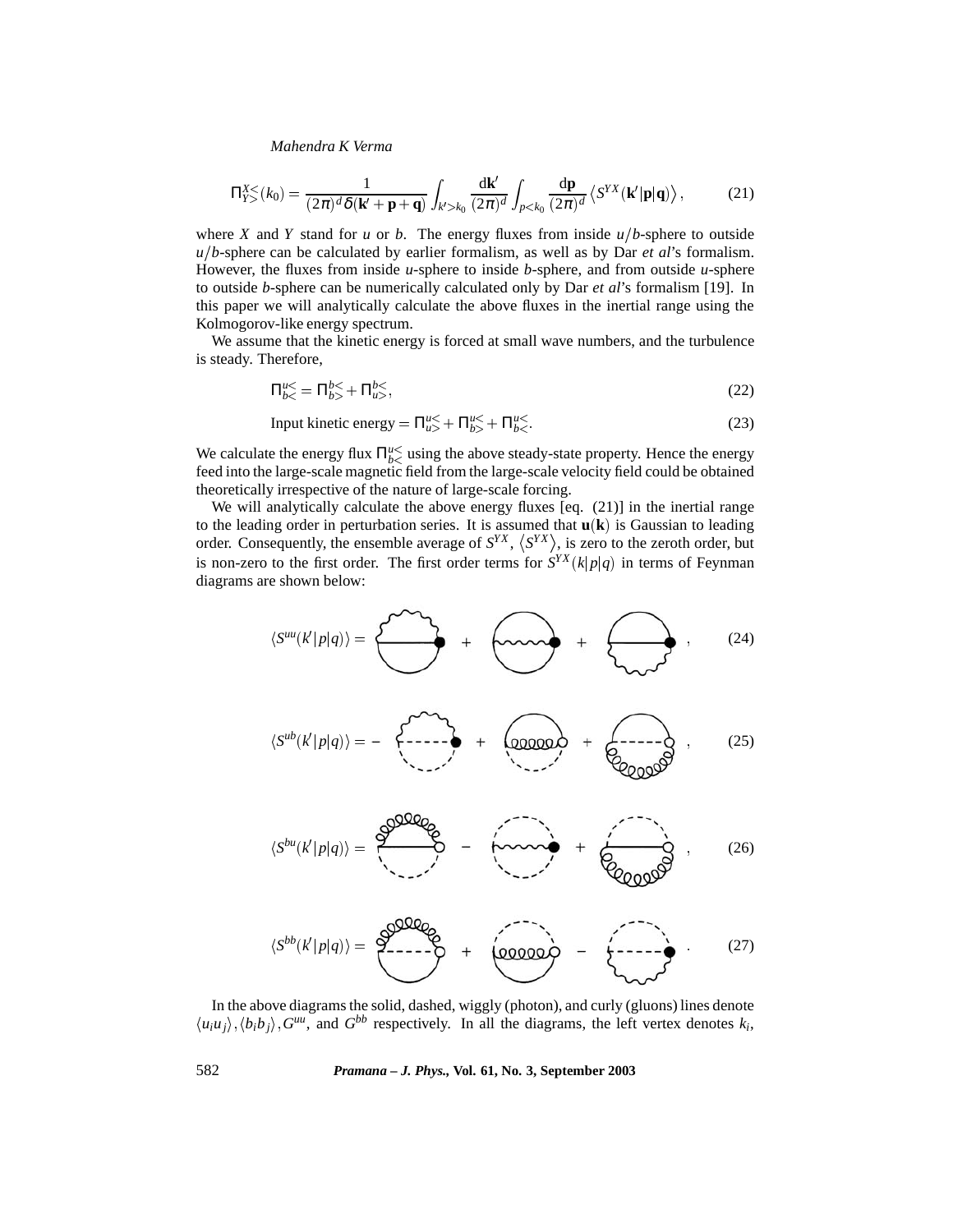$$
\Pi_{Y>}^{X<}(k_0) = \frac{1}{(2\pi)^d \delta(\mathbf{k}' + \mathbf{p} + \mathbf{q})} \int_{k' > k_0} \frac{\mathrm{d}\mathbf{k}'}{(2\pi)^d} \int_{p < k_0} \frac{\mathrm{d}\mathbf{p}}{(2\pi)^d} \left\langle S^{YX}(\mathbf{k}'|\mathbf{p}|\mathbf{q}) \right\rangle, \tag{21}
$$

where *X* and *Y* stand for *u* or *b*. The energy fluxes from inside  $u/b$ -sphere to outside *ub*-sphere can be calculated by earlier formalism, as well as by Dar *et al*'s formalism. However, the fluxes from inside *u*-sphere to inside *b*-sphere, and from outside *u*-sphere to outside *b*-sphere can be numerically calculated only by Dar *et al*'s formalism [19]. In this paper we will analytically calculate the above fluxes in the inertial range using the Kolmogorov-like energy spectrum.

We assume that the kinetic energy is forced at small wave numbers, and the turbulence is steady. Therefore,

$$
\Pi_{b<}^{u<} = \Pi_{b>}^{b<} + \Pi_{u>}^{b<},\tag{22}
$$

Input kinetic energy = 
$$
\Pi_{u>}^{u\le}
$$
 +  $\Pi_{b>}^{u\le}$  +  $\Pi_{b<}^{u\le}$  (23)

We calculate the energy flux  $\Pi_{bc}^{u\leq}$  using the above steady-state property. Hence the energy feed into the large-scale magnetic field from the large-scale velocity field could be obtained theoretically irrespective of the nature of large-scale forcing.

We will analytically calculate the above energy fluxes [eq. (21)] in the inertial range to the leading order in perturbation series. It is assumed that **uk**- is Gaussian to leading order. Consequently, the ensemble average of  $S^{YX}$ ,  $\langle S^{YX} \rangle$ , is zero to the zeroth order, but is non-zero to the first order. The first order terms for  $S^{YX}(k|p|q)$  in terms of Feynman diagrams are shown below:

$$
\langle S^{uu}(k'|p|q)\rangle = \begin{pmatrix} \sqrt{1-\lambda} & 0 & \lambda & 0 \\ 0 & 0 & \lambda & 0 \\ 0 & 0 & \lambda & 0 \end{pmatrix} + \begin{pmatrix} 0 & 0 & \lambda & 0 \\ 0 & 0 & \lambda & 0 \\ 0 & 0 & \lambda & 0 \end{pmatrix}, \qquad (24)
$$

$$
\langle S^{ub}(k'|p|q)\rangle = - \begin{matrix} 1 & 0 & 0 & 0 & 0 \\ 0 & 0 & 0 & 0 & 0 \\ 0 & 0 & 0 & 0 & 0 \\ 0 & 0 & 0 & 0 & 0 \\ 0 & 0 & 0 & 0 & 0 \end{matrix} + \begin{matrix} 25 & 0 & 0 & 0 \\ 0 & 0 & 0 & 0 \\ 0 & 0 & 0 & 0 \\ 0 & 0 & 0 & 0 \\ 0 & 0 & 0 & 0 \end{matrix} \rangle
$$

$$
\langle S^{bu}(k'|p|q)\rangle = \frac{\text{eVQQQQ}}{\text{eV}} = \text{fiviv} + \text{eVQQQQQ} \tag{26}
$$

$$
\langle S^{bb}(k'|p|q) \rangle = \underbrace{\partial^{0000}Q}_{\text{1}} + \underbrace{\langle 00000 \rangle}_{\text{2}} - \underbrace{\langle 0000 \rangle}_{\text{2}} \tag{27}
$$

In the above diagrams the solid, dashed, wiggly (photon), and curly (gluons) lines denote  $\langle u_i u_j \rangle$ ,  $\langle b_i b_j \rangle$ ,  $G^{uu}$ , and  $G^{bb}$  respectively. In all the diagrams, the left vertex denotes  $k_i$ ,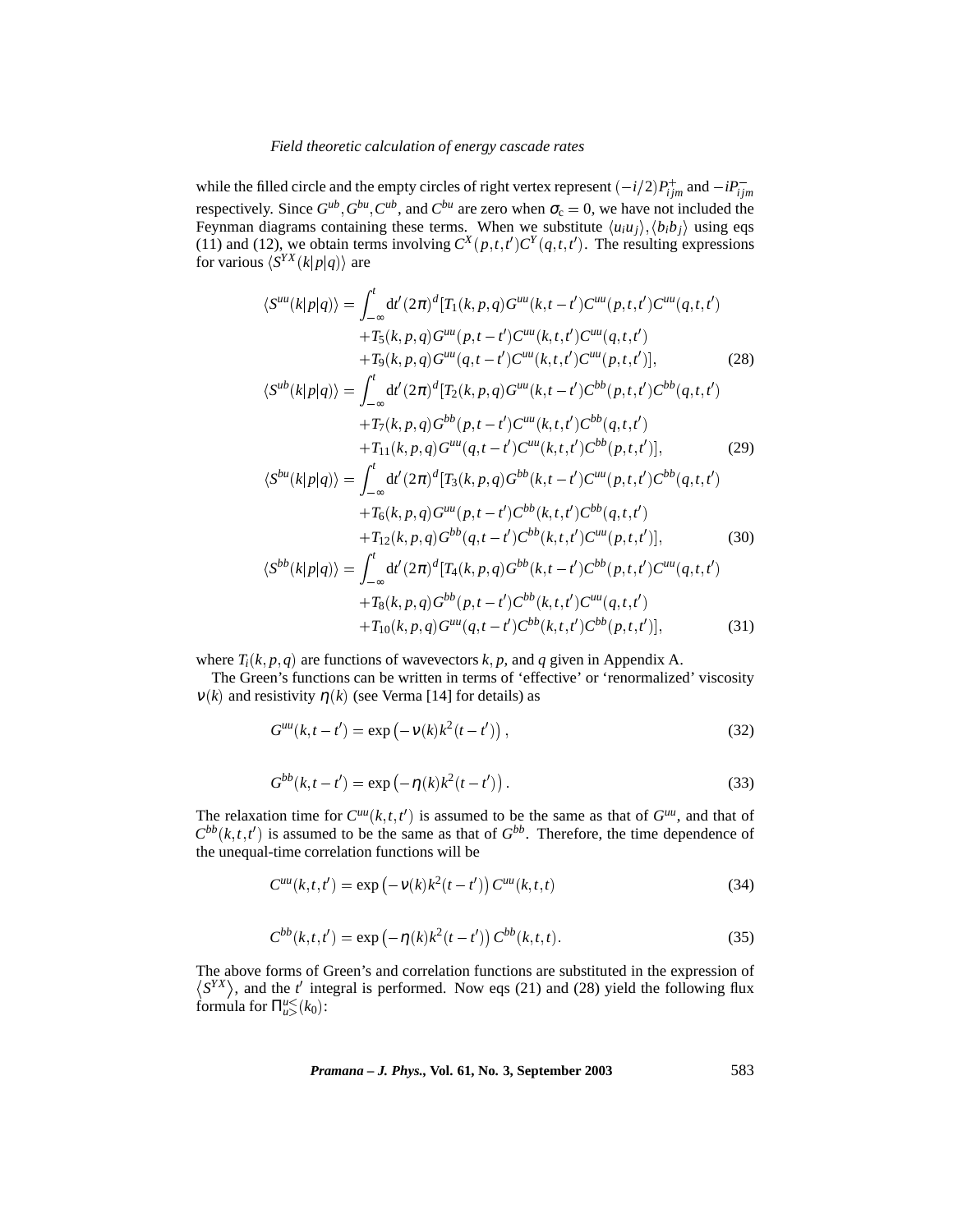while the filled circle and the empty circles of right vertex represent  $(-i/2)P_{ijm}^+$  and  $-iP_{ijm}^$ respectively. Since  $G^{ub}$ ,  $G^{bu}$ ,  $C^{ub}$ , and  $C^{bu}$  are zero when  $\sigma_c = 0$ , we have not included the Feynman diagrams containing these terms. When we substitute  $\langle u_i u_j \rangle, \langle b_i b_j \rangle$  using eqs (11) and (12), we obtain terms involving  $C^{X}(p,t,t')C^{Y}(q,t,t')$ . The resulting expressions for various  $\langle S^{YX}(k|p|q) \rangle$  are

$$
\langle S^{uu}(k|p|q)\rangle = \int_{-\infty}^{t} dt'(2\pi)^{d} [T_{1}(k,p,q)G^{uu}(k,t-t')C^{uu}(p,t,t')C^{uu}(q,t,t')+T_{5}(k,p,q)G^{uu}(p,t-t')C^{uu}(k,t,t')C^{uu}(q,t,t')+T_{9}(k,p,q)G^{uu}(q,t-t')C^{uu}(k,t,t')C^{uu}(p,t,t')], \qquad (28)
$$
  

$$
\langle S^{ub}(k|p|q)\rangle = \int_{-\infty}^{t} dt'(2\pi)^{d} [T_{2}(k,p,q)G^{uu}(k,t-t')C^{bb}(p,t,t')C^{bb}(q,t,t')+T_{7}(k,p,q)G^{bb}(p,t-t')C^{uu}(k,t,t')C^{bb}(q,t,t')+T_{11}(k,p,q)G^{uu}(q,t-t')C^{uu}(k,t,t')C^{bb}(p,t,t')], \qquad (29)
$$
  

$$
\langle S^{bu}(k|p|q)\rangle = \int_{-\infty}^{t} dt'(2\pi)^{d} [T_{3}(k,p,q)G^{bb}(k,t-t')C^{uu}(p,t,t')C^{bb}(q,t,t')+T_{6}(k,p,q)G^{uu}(p,t-t')C^{bb}(k,t,t')C^{bb}(q,t,t')+T_{12}(k,p,q)G^{bb}(q,t-t')C^{bb}(k,t,t')C^{uu}(p,t,t')], \qquad (30)
$$
  

$$
\langle S^{bb}(k|p|q)\rangle = \int_{-\infty}^{t} dt'(2\pi)^{d} [T_{4}(k,p,q)G^{bb}(k,t-t')C^{bb}(p,t,t')C^{uu}(q,t,t')+T_{8}(k,p,q)G^{bb}(p,t-t')C^{bb}(k,t,t')C^{uu}(q,t,t')+T_{10}(k,p,q)G^{uu}(q,t-t')C^{bb}(k,t,t')C^{uu}(q,t,t')], \qquad (31)
$$

where  $T_i(k, p, q)$  are functions of wavevectors  $k, p$ , and  $q$  given in Appendix A.

The Green's functions can be written in terms of 'effective' or 'renormalized' viscosity  $v(k)$  and resistivity  $\eta(k)$  (see Verma [14] for details) as

$$
G^{uu}(k, t - t') = \exp(-v(k)k^2(t - t'))\,,\tag{32}
$$

$$
G^{bb}(k, t - t') = \exp(-\eta(k)k^2(t - t')).
$$
\n(33)

The relaxation time for  $C^{uu}(k, t, t')$  is assumed to be the same as that of  $G^{uu}$ , and that of  $C^{bb}(k, t, t')$  is assumed to be the same as that of  $G^{bb}$ . Therefore, the time dependence of the unequal-time correlation functions will be

$$
C^{uu}(k, t, t') = \exp(-\nu(k)k^{2}(t - t')) C^{uu}(k, t, t)
$$
\n(34)

$$
C^{bb}(k, t, t') = \exp(-\eta(k)k^2(t - t')) C^{bb}(k, t, t).
$$
\n(35)

The above forms of Green's and correlation functions are substituted in the expression of  $\langle S^{YX} \rangle$ , and the *t'* integral is performed. Now eqs (21) and (28) yield the following flux formula for  $\Pi_{u>}^{u}({k_0})$ :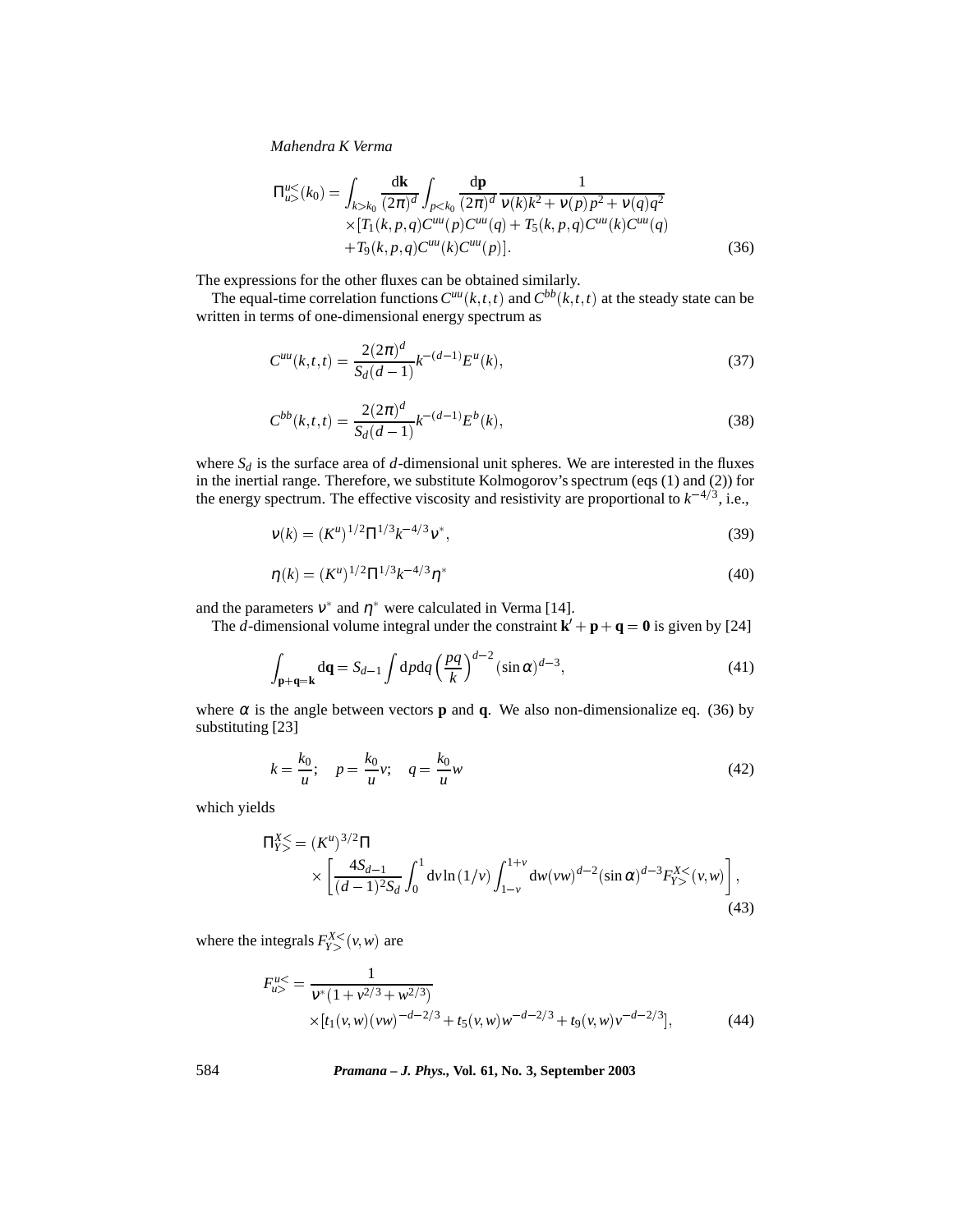$$
\Pi_{u>}^{u}{}^{<}(k_0) = \int_{k>k_0} \frac{d\mathbf{k}}{(2\pi)^d} \int_{p < k_0} \frac{d\mathbf{p}}{(2\pi)^d} \frac{1}{v(k)k^2 + v(p)p^2 + v(q)q^2} \times [T_1(k, p, q)C^{uu}(p)C^{uu}(q) + T_5(k, p, q)C^{uu}(k)C^{uu}(q) + T_9(k, p, q)C^{uu}(k)C^{uu}(p)]. \tag{36}
$$

The expressions for the other fluxes can be obtained similarly.

The equal-time correlation functions  $C^{uu}(k,t,t)$  and  $C^{bb}(k,t,t)$  at the steady state can be written in terms of one-dimensional energy spectrum as

$$
C^{uu}(k,t,t) = \frac{2(2\pi)^d}{S_d(d-1)}k^{-(d-1)}E^u(k),\tag{37}
$$

$$
C^{bb}(k,t,t) = \frac{2(2\pi)^d}{S_d(d-1)}k^{-(d-1)}E^b(k),
$$
\n(38)

where  $S_d$  is the surface area of  $d$ -dimensional unit spheres. We are interested in the fluxes in the inertial range. Therefore, we substitute Kolmogorov's spectrum (eqs (1) and (2)) for the energy spectrum. The effective viscosity and resistivity are proportional to  $k^{-4/3}$ , i.e.,

$$
v(k) = (K^u)^{1/2} \Pi^{1/3} k^{-4/3} v^*,
$$
\n(39)

$$
\eta(k) = (K^u)^{1/2} \Pi^{1/3} k^{-4/3} \eta^*
$$
\n(40)

and the parameters  $v^*$  and  $\eta^*$  were calculated in Verma [14].

The *d*-dimensional volume integral under the constraint  $\mathbf{k}' + \mathbf{p} + \mathbf{q} = \mathbf{0}$  is given by [24]

$$
\int_{\mathbf{p}+\mathbf{q}=\mathbf{k}} \mathbf{d}\mathbf{q} = S_{d-1} \int \mathbf{d}p \mathbf{d}q \left(\frac{pq}{k}\right)^{d-2} (\sin \alpha)^{d-3},\tag{41}
$$

where  $\alpha$  is the angle between vectors **p** and **q**. We also non-dimensionalize eq. (36) by substituting [23]

$$
k = \frac{k_0}{u}; \quad p = \frac{k_0}{u}v; \quad q = \frac{k_0}{u}w
$$
 (42)

which yields

$$
\Pi_{Y>}^{X<} = (K^u)^{3/2} \Pi
$$
  
 
$$
\times \left[ \frac{4S_{d-1}}{(d-1)^2 S_d} \int_0^1 dv \ln(1/v) \int_{1-v}^{1+v} dw(vw)^{d-2} (\sin \alpha)^{d-3} F_{Y>}^{X<}(v,w) \right],
$$
 (43)

where the integrals  $F_{Y>}^{X<}(v, w)$  are

$$
F_{u>}^{u<} = \frac{1}{v^*(1 + v^{2/3} + w^{2/3})}
$$
  
 
$$
\times [t_1(v, w)(vw)^{-d-2/3} + t_5(v, w)w^{-d-2/3} + t_9(v, w)v^{-d-2/3}],
$$
 (44)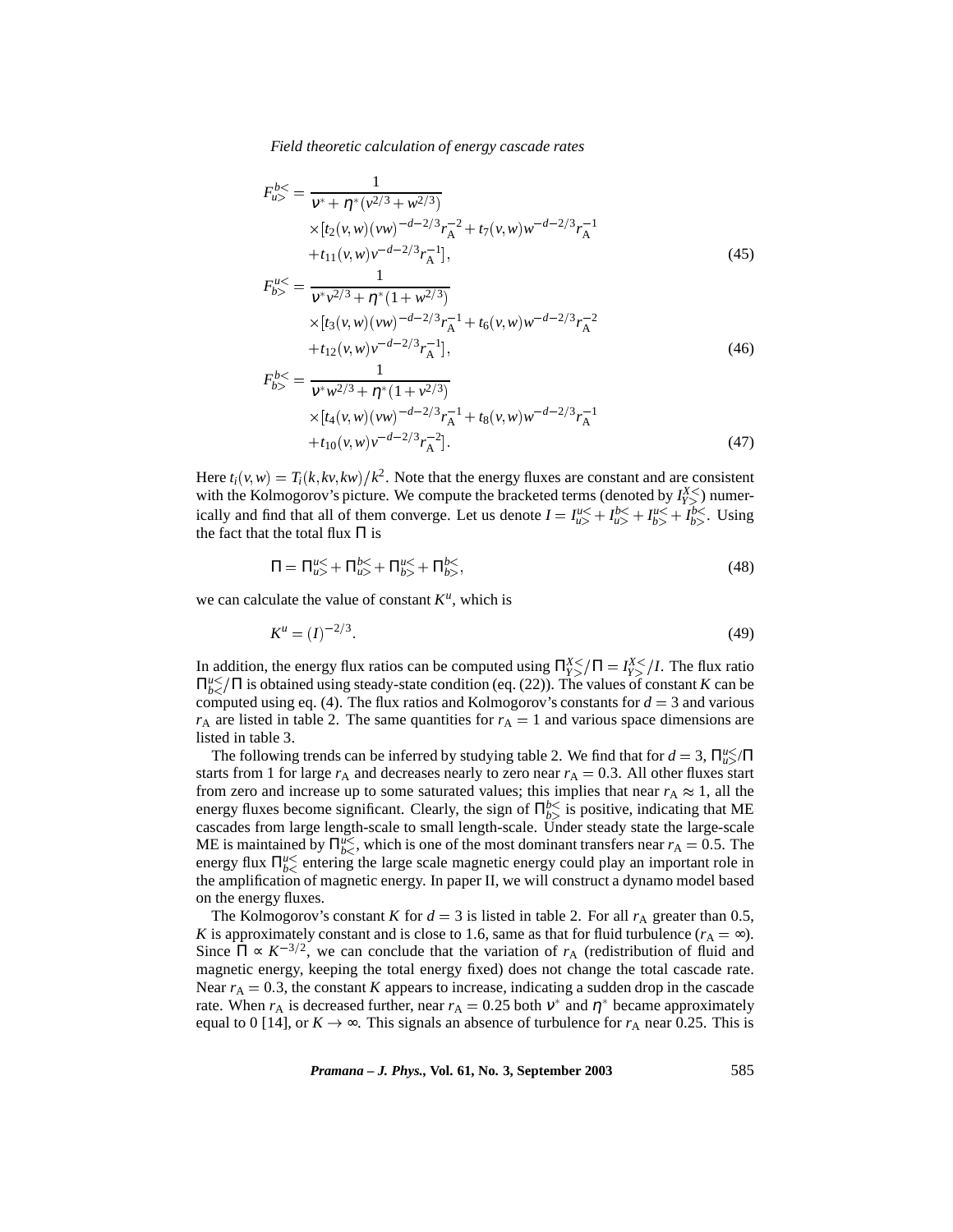$$
F_{u>}^{b\leq} = \frac{1}{v^* + \eta^* (\nu^{2/3} + w^{2/3})}
$$
  
 
$$
\times [t_2(v, w)(vw)^{-d-2/3} r_A^{-2} + t_7(v, w)w^{-d-2/3} r_A^{-1}
$$
  
 
$$
+ t_{11}(v, w)v^{-d-2/3} r_A^{-1}],
$$
 (45)

$$
F_{b>}^{u<} = \frac{1}{v^*v^{2/3} + \eta^* (1 + w^{2/3})}
$$
  
×[ $t_3(v, w)(vw)^{-d-2/3}r_A^{-1}$  +  $t_6(v, w)w^{-d-2/3}r_A^{-2}$   
+ $t_{12}(v, w)v^{-d-2/3}r_A^{-1}$ ], (46)

$$
F_{b>}^{b<} = \frac{1}{v^* w^{2/3} + \eta^* (1 + v^{2/3})}
$$
  
×[*t*<sub>4</sub>(*v*, *w*)(*vw*)<sup>-*d*-2/3</sup>*r*<sub>A</sub><sup>-1</sup> + *t*<sub>8</sub>(*v*, *w*)*w*<sup>-*d*-2/3</sup>*r*<sub>A</sub><sup>-1</sup> +*t*<sub>10</sub>(*v*, *w*)*v*<sup>-*d*-2/3</sup>*r*<sub>A</sub><sup>-1</sup>}. (47)

Here  $t_i(v, w) = T_i(k, kv, kw)/k^2$ . Note that the energy fluxes are constant and are consistent with the Kolmogorov's picture. We compute the bracketed terms (denoted by  $I_{Y>}^{X\leq}$ ) numerically and find that all of them converge. Let us denote  $I = I_{u>}^{u} + I_{u>}^{b} + I_{b>}^{u} + I_{b>}^{b}$ . Using the fact that the total flux  $\Pi$  is

$$
\Pi = \Pi_{u>}^{u} + \Pi_{u>}^{b} + \Pi_{b>}^{u} + \Pi_{b>}^{b} ,\tag{48}
$$

we can calculate the value of constant  $K^u$ , which is

$$
K^u = (I)^{-2/3}.
$$
\n(49)

In addition, the energy flux ratios can be computed using  $\prod_{Y}^{X} \le \sqrt{II} = I_{Y}^{X} \le \sqrt{I}$ . The flux ratio  $\Pi_{b}^{\mu}$  /  $\Pi$  is obtained using steady-state condition (eq. (22)). The values of constant *K* can be computed using eq. (4). The flux ratios and Kolmogorov's constants for  $d = 3$  and various  $r_A$  are listed in table 2. The same quantities for  $r_A = 1$  and various space dimensions are listed in table 3.

The following trends can be inferred by studying table 2. We find that for  $d = 3$ ,  $\prod_{u>u}^{u \leq n}$ starts from 1 for large  $r_A$  and decreases nearly to zero near  $r_A = 0.3$ . All other fluxes start from zero and increase up to some saturated values; this implies that near  $r_A \approx 1$ , all the energy fluxes become significant. Clearly, the sign of  $\Pi_{b>}^{b\leq}$  is positive, indicating that ME cascades from large length-scale to small length-scale. Under steady state the large-scale ME is maintained by  $\Pi_{b<}^{u<}$ , which is one of the most dominant transfers near  $r_A = 0.5$ . The energy flux  $\Pi_{b<}^{u<}$  entering the large scale magnetic energy could play an important role in the amplification of magnetic energy. In paper II, we will construct a dynamo model based on the energy fluxes.

The Kolmogorov's constant *K* for  $d = 3$  is listed in table 2. For all  $r_A$  greater than 0.5, *K* is approximately constant and is close to 1.6, same as that for fluid turbulence  $(r_A = \infty)$ . Since  $\Pi \propto K^{-3/2}$ , we can conclude that the variation of  $r_A$  (redistribution of fluid and magnetic energy, keeping the total energy fixed) does not change the total cascade rate. Near  $r_A = 0.3$ , the constant *K* appears to increase, indicating a sudden drop in the cascade rate. When  $r_A$  is decreased further, near  $r_A = 0.25$  both  $v^*$  and  $\eta^*$  became approximately equal to 0 [14], or  $K \to \infty$ . This signals an absence of turbulence for  $r_A$  near 0.25. This is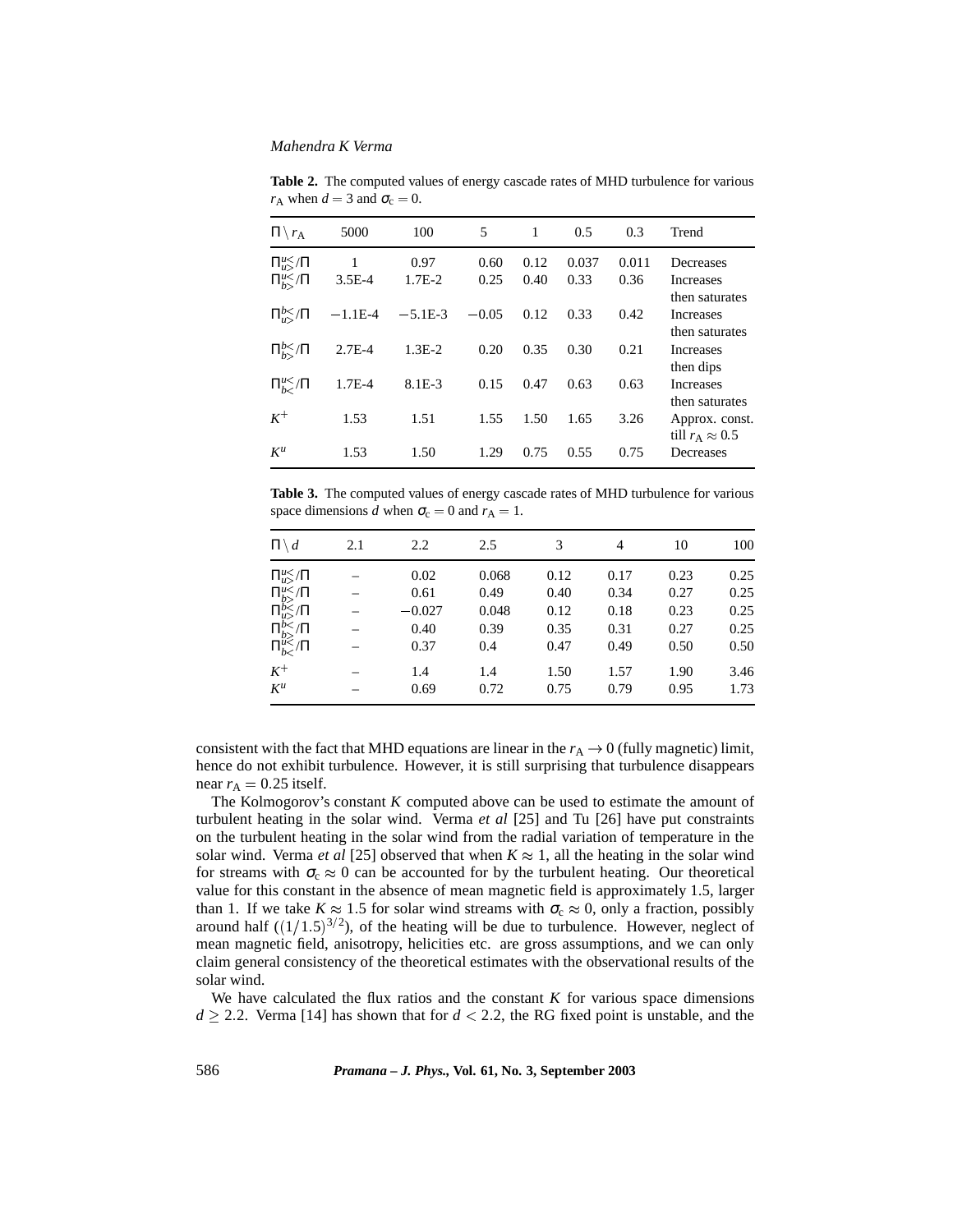$\Pi \backslash r_A$  5000 100 5 1 0.5 0.3 Trend  $\Pi_{u>}^{u<}/\Pi$  $\mathbf{1}$ *u*</Π 1 0.97 0.60 0.12 0.037 0.011 Decreases  $\Pi_{b>}^{u<}/\Pi$  $3.5E-4$  $\frac{u}{b}$ /Π 3.5E-4 1.7E-2 0.25 0.40 0.33 0.36 Increases then saturates  $\Pi_{u}^{b} \leq \sqrt{\Pi}$  $-1.1E-4$  $_{u>u}^{b}\sqrt{11}$  -1.1E-4 -5.1E-3 -0.05 0.12 0.33 0.42 Increases then saturates  $\Pi_{h}^{b}\leq$ /Π  $2.7E-4$ *<sup>b</sup>*/Π 2.7E-4 1.3E-2 0.20 0.35 0.30 0.21 Increases then dips  $\Pi_{b<}^{u<}$  $1.7E-4$ 8.1E-3 0.15 0.47 0.63 0.63 Increases then saturates  $K^+$  1.53 1.53 1.51 1.55 1.50 1.65 3.26 Approx. const. till  $r_A \approx 0.5$ *K<sup>u</sup>* 1.53 1.50 1.29 0.75 0.55 0.75 Decreases

**Table 2.** The computed values of energy cascade rates of MHD turbulence for various *r*<sub>A</sub> when  $d = 3$  and  $\sigma_c = 0$ .

**Table 3.** The computed values of energy cascade rates of MHD turbulence for various space dimensions *d* when  $\sigma_c = 0$  and  $r_A = 1$ .

| $\Pi \setminus d$      | 2.1 | 2.2      | 2.5   | 3    | 4    | 10   | 100  |
|------------------------|-----|----------|-------|------|------|------|------|
| $\Pi_{u>}^{u<}/\Pi$    |     | 0.02     | 0.068 | 0.12 | 0.17 | 0.23 | 0.25 |
| $\Pi_{b}^{u}\leq/\Pi$  |     | 0.61     | 0.49  | 0.40 | 0.34 | 0.27 | 0.25 |
| $\Pi_{u>}^{b}$ / $\Pi$ |     | $-0.027$ | 0.048 | 0.12 | 0.18 | 0.23 | 0.25 |
| $\Pi_{b>}^{b}$ / $\Pi$ |     | 0.40     | 0.39  | 0.35 | 0.31 | 0.27 | 0.25 |
| $\Pi_{b<}^{u<} / \Pi$  |     | 0.37     | 0.4   | 0.47 | 0.49 | 0.50 | 0.50 |
| $K^+$                  |     | 1.4      | 1.4   | 1.50 | 1.57 | 1.90 | 3.46 |
| $K^u$                  |     | 0.69     | 0.72  | 0.75 | 0.79 | 0.95 | 1.73 |
|                        |     |          |       |      |      |      |      |

consistent with the fact that MHD equations are linear in the  $r_A \rightarrow 0$  (fully magnetic) limit, hence do not exhibit turbulence. However, it is still surprising that turbulence disappears near  $r_A = 0.25$  itself.

The Kolmogorov's constant *K* computed above can be used to estimate the amount of turbulent heating in the solar wind. Verma *et al* [25] and Tu [26] have put constraints on the turbulent heating in the solar wind from the radial variation of temperature in the solar wind. Verma *et al* [25] observed that when  $K \approx 1$ , all the heating in the solar wind for streams with  $\sigma_c \approx 0$  can be accounted for by the turbulent heating. Our theoretical value for this constant in the absence of mean magnetic field is approximately 1.5, larger than 1. If we take  $K \approx 1.5$  for solar wind streams with  $\sigma_c \approx 0$ , only a fraction, possibly around half  $((1/1.5)^{3/2})$ , of the heating will be due to turbulence. However, neglect of mean magnetic field, anisotropy, helicities etc. are gross assumptions, and we can only claim general consistency of the theoretical estimates with the observational results of the solar wind.

We have calculated the flux ratios and the constant  $K$  for various space dimensions  $d \ge 2.2$ . Verma [14] has shown that for  $d < 2.2$ , the RG fixed point is unstable, and the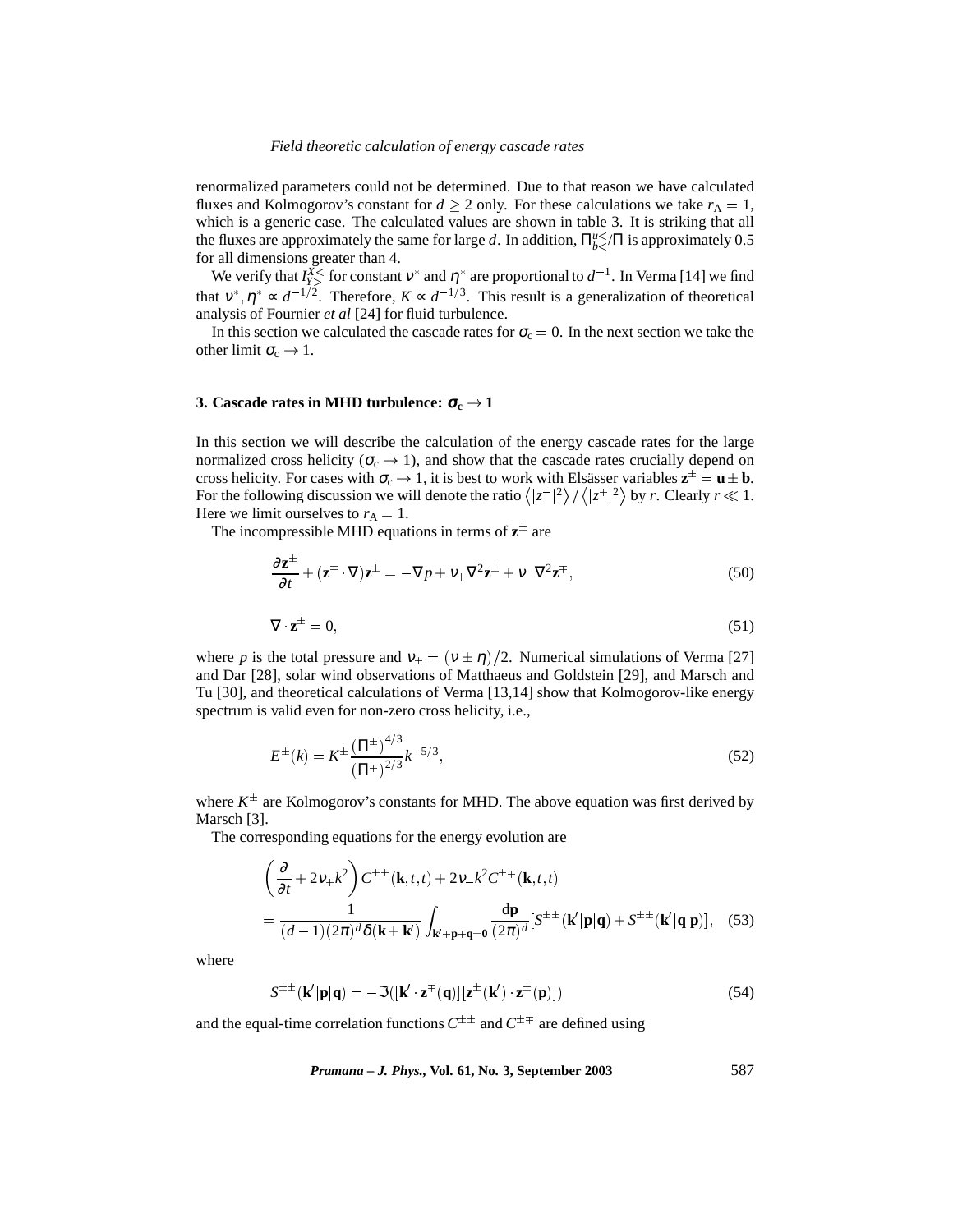renormalized parameters could not be determined. Due to that reason we have calculated fluxes and Kolmogorov's constant for  $d \ge 2$  only. For these calculations we take  $r_A = 1$ , which is a generic case. The calculated values are shown in table 3. It is striking that all the fluxes are approximately the same for large *d*. In addition,  $\prod_{b<sub>i</sub> <sup>u</sup> <sup>u</sup> <sup>u</sup> <sup>u</sup>$  is approximately 0.5 for all dimensions greater than 4.

We verify that  $I_{Y>}^{X<}$  for constant  $v^*$  and  $\eta^*$  are proportional to  $d^{-1}$ . In Verma [14] we find that  $v^*, \eta^* \sim d^{-1/2}$ . Therefore,  $K \sim d^{-1/3}$ . This result is a generalization of theoretical analysis of Fournier *et al* [24] for fluid turbulence.

In this section we calculated the cascade rates for  $\sigma_c = 0$ . In the next section we take the other limit  $\sigma_c \to 1$ .

## **3.** Cascade rates in MHD turbulence:  $\sigma_c \rightarrow 1$

In this section we will describe the calculation of the energy cascade rates for the large normalized cross helicity ( $\sigma_c \rightarrow 1$ ), and show that the cascade rates crucially depend on cross helicity. For cases with  $\sigma_c \to 1$ , it is best to work with Elsässer variables  $z^{\pm} = u \pm b$ . For the following discussion we will denote the ratio  $\langle |z^{-}|^2 \rangle / \langle |z^{+}|^2 \rangle$  by *r*. Clearly  $r \ll 1$ . Here we limit ourselves to  $r_A = 1$ .

The incompressible MHD equations in terms of  $z^{\pm}$  are

$$
\frac{\partial \mathbf{z}^{\pm}}{\partial t} + (\mathbf{z}^{\mp} \cdot \nabla) \mathbf{z}^{\pm} = -\nabla p + \nu_{+} \nabla^{2} \mathbf{z}^{\pm} + \nu_{-} \nabla^{2} \mathbf{z}^{\mp},
$$
\n(50)

$$
\nabla \cdot \mathbf{z}^{\pm} = 0,\tag{51}
$$

where *p* is the total pressure and  $v_{\pm} = (v \pm \eta)/2$ . Numerical simulations of Verma [27] and Dar [28], solar wind observations of Matthaeus and Goldstein [29], and Marsch and Tu [30], and theoretical calculations of Verma [13,14] show that Kolmogorov-like energy spectrum is valid even for non-zero cross helicity, i.e.,

$$
E^{\pm}(k) = K^{\pm} \frac{(\Pi^{\pm})^{4/3}}{(\Pi^{\mp})^{2/3}} k^{-5/3},\tag{52}
$$

where  $K^{\pm}$  are Kolmogorov's constants for MHD. The above equation was first derived by Marsch<sup>[3]</sup>.

The corresponding equations for the energy evolution are

$$
\left(\frac{\partial}{\partial t} + 2v_{+}k^{2}\right) C^{\pm\pm}(\mathbf{k}, t, t) + 2v_{-}k^{2} C^{\pm\mp}(\mathbf{k}, t, t)
$$
\n
$$
= \frac{1}{(d-1)(2\pi)^{d}\delta(\mathbf{k} + \mathbf{k}')} \int_{\mathbf{k}' + \mathbf{p} + \mathbf{q} = \mathbf{0}} \frac{d\mathbf{p}}{(2\pi)^{d}} [S^{\pm\pm}(\mathbf{k}'|\mathbf{p}|\mathbf{q}) + S^{\pm\pm}(\mathbf{k}'|\mathbf{q}|\mathbf{p})], \quad (53)
$$

where

$$
S^{\pm\pm}(\mathbf{k}'|\mathbf{p}|\mathbf{q}) = -\mathfrak{S}([\mathbf{k}' \cdot \mathbf{z}^{\mp}(\mathbf{q})][\mathbf{z}^{\pm}(\mathbf{k}') \cdot \mathbf{z}^{\pm}(\mathbf{p})])
$$
(54)

and the equal-time correlation functions  $C^{\pm\pm}$  and  $C^{\pm\mp}$  are defined using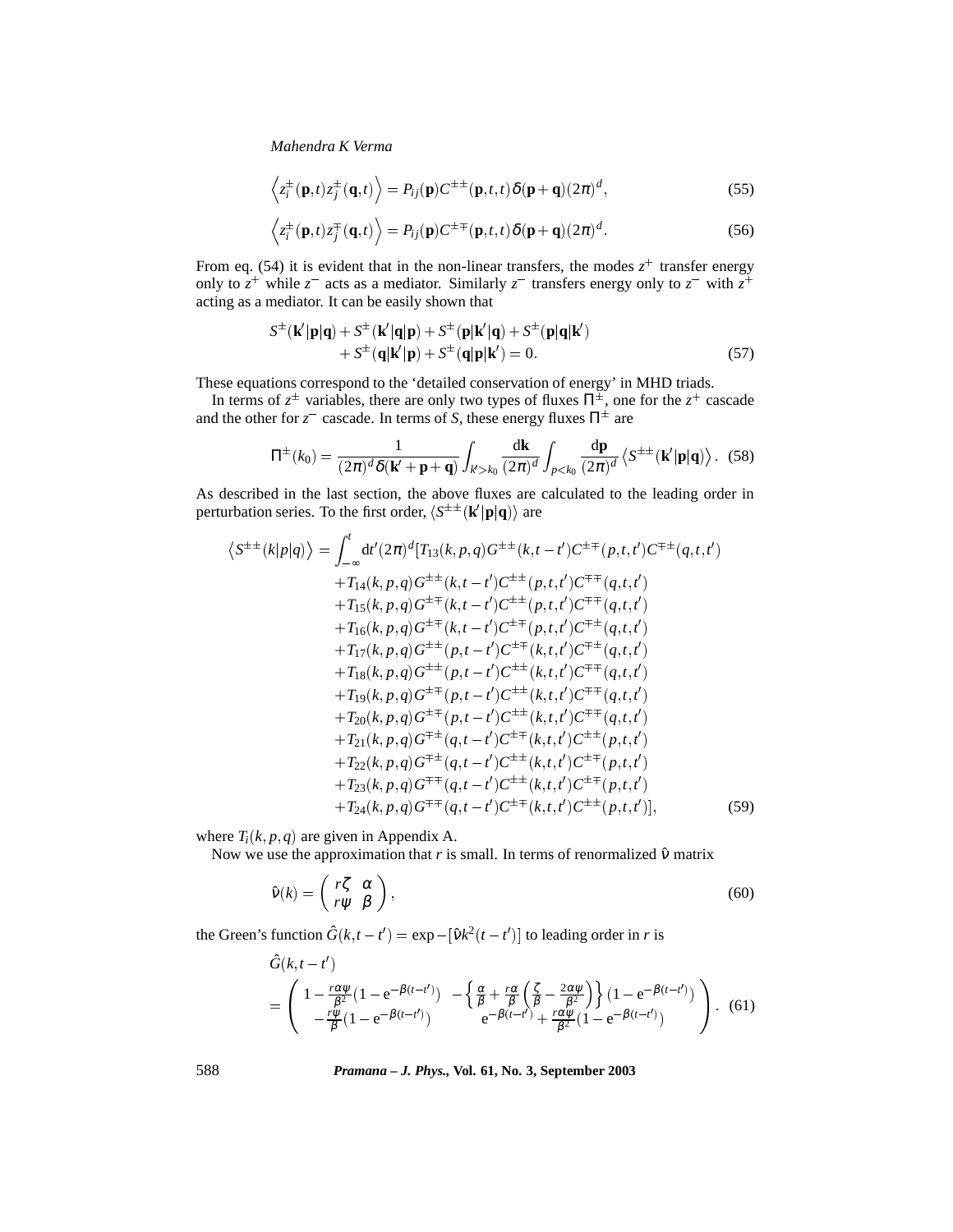$$
\left\langle z_i^{\pm}(\mathbf{p},t)z_j^{\pm}(\mathbf{q},t)\right\rangle = P_{ij}(\mathbf{p})C^{\pm\pm}(\mathbf{p},t,t)\delta(\mathbf{p}+\mathbf{q})(2\pi)^d,
$$
\n(55)

$$
\left\langle z_i^{\pm}(\mathbf{p},t)z_j^{\mp}(\mathbf{q},t)\right\rangle = P_{ij}(\mathbf{p})C^{\pm\mp}(\mathbf{p},t,t)\delta(\mathbf{p}+\mathbf{q})(2\pi)^d.
$$
 (56)

From eq. (54) it is evident that in the non-linear transfers, the modes  $z^+$  transfer energy only to  $z^+$  while  $z^-$  acts as a mediator. Similarly  $z^-$  transfers energy only to  $z^-$  with  $z^+$ acting as a mediator. It can be easily shown that

$$
S^{\pm}(\mathbf{k}'|\mathbf{p}|\mathbf{q}) + S^{\pm}(\mathbf{k}'|\mathbf{q}|\mathbf{p}) + S^{\pm}(\mathbf{p}|\mathbf{k}'|\mathbf{q}) + S^{\pm}(\mathbf{p}|\mathbf{q}|\mathbf{k}')+ S^{\pm}(\mathbf{q}|\mathbf{k}'|\mathbf{p}) + S^{\pm}(\mathbf{q}|\mathbf{p}|\mathbf{k}') = 0.
$$
 (57)

These equations correspond to the 'detailed conservation of energy' in MHD triads.

In terms of  $z^{\pm}$  variables, there are only two types of fluxes  $\Pi^{\pm}$ , one for the  $z^+$  cascade and the other for  $z^-$  cascade. In terms of *S*, these energy fluxes  $\Pi^\pm$  are

$$
\Pi^{\pm}(k_0) = \frac{1}{(2\pi)^d \delta(\mathbf{k}' + \mathbf{p} + \mathbf{q})} \int_{k' > k_0} \frac{\mathrm{d}\mathbf{k}}{(2\pi)^d} \int_{p < k_0} \frac{\mathrm{d}\mathbf{p}}{(2\pi)^d} \left\langle S^{\pm \pm}(\mathbf{k}'|\mathbf{p}|\mathbf{q}) \right\rangle. \tag{58}
$$

As described in the last section, the above fluxes are calculated to the leading order in perturbation series. To the first order,  $\langle S^{\pm \pm}({\bf k}'|{\bf p}|{\bf q})\rangle$  are

$$
\langle S^{\pm\pm}(k|p|q)\rangle = \int_{-\infty}^{t} dt'(2\pi)^{d} [T_{13}(k, p, q)G^{\pm\pm}(k, t-t')C^{\pm\mp}(p, t, t')C^{\mp\pm}(q, t, t')+T_{14}(k, p, q)G^{\pm\pm}(k, t-t')C^{\pm\pm}(p, t, t')C^{\mp\mp}(q, t, t')+T_{15}(k, p, q)G^{\pm\mp}(k, t-t')C^{\pm\pm}(p, t, t')C^{\mp\mp}(q, t, t')+T_{16}(k, p, q)G^{\pm\mp}(k, t-t')C^{\pm\mp}(p, t, t')C^{\mp\pm}(q, t, t')+T_{17}(k, p, q)G^{\pm\pm}(p, t-t')C^{\pm\mp}(k, t, t')C^{\mp\pm}(q, t, t')+T_{18}(k, p, q)G^{\pm\pm}(p, t-t')C^{\pm\pm}(k, t, t')C^{\mp\mp}(q, t, t')+T_{19}(k, p, q)G^{\pm\mp}(p, t-t')C^{\pm\pm}(k, t, t')C^{\mp\mp}(q, t, t')+T_{20}(k, p, q)G^{\pm\mp}(p, t-t')C^{\pm\pm}(k, t, t')C^{\mp\mp}(q, t, t')+T_{21}(k, p, q)G^{\mp\pm}(q, t-t')C^{\pm\pm}(k, t, t')C^{\mp\mp}(p, t, t')+T_{22}(k, p, q)G^{\mp\pm}(q, t-t')C^{\pm\pm}(k, t, t')C^{\pm\mp}(p, t, t')+T_{23}(k, p, q)G^{\mp\mp}(q, t-t')C^{\pm\pm}(k, t, t')C^{\pm\mp}(p, t, t')+T_{24}(k, p, q)G^{\mp\mp}(q, t-t')C^{\pm\mp}(k, t, t')C^{\pm\mp}(p, t, t')]
$$
\n(59)

where  $T_i(k, p, q)$  are given in Appendix A.

Now we use the approximation that  $r$  is small. In terms of renormalized  $\hat{v}$  matrix

$$
\hat{\mathbf{v}}(k) = \begin{pmatrix} r\zeta & \alpha \\ r\psi & \beta \end{pmatrix},\tag{60}
$$

the Green's function  $\hat{G}(k, t - t') = \exp{-[\hat{v}k^2(t - t')]}$  to leading order in *r* is

$$
\hat{G}(k, t - t') = \begin{pmatrix} 1 - \frac{r\alpha\psi}{\beta^2} (1 - e^{-\beta(t - t')}) & -\left\{ \frac{\alpha}{\beta} + \frac{r\alpha}{\beta} \left( \frac{\zeta}{\beta} - \frac{2\alpha\psi}{\beta^2} \right) \right\} (1 - e^{-\beta(t - t')}) \\ -\frac{r\psi}{\beta} (1 - e^{-\beta(t - t')}) & e^{-\beta(t - t')} + \frac{r\alpha\psi}{\beta^2} (1 - e^{-\beta(t - t')}) \end{pmatrix} .
$$
(61)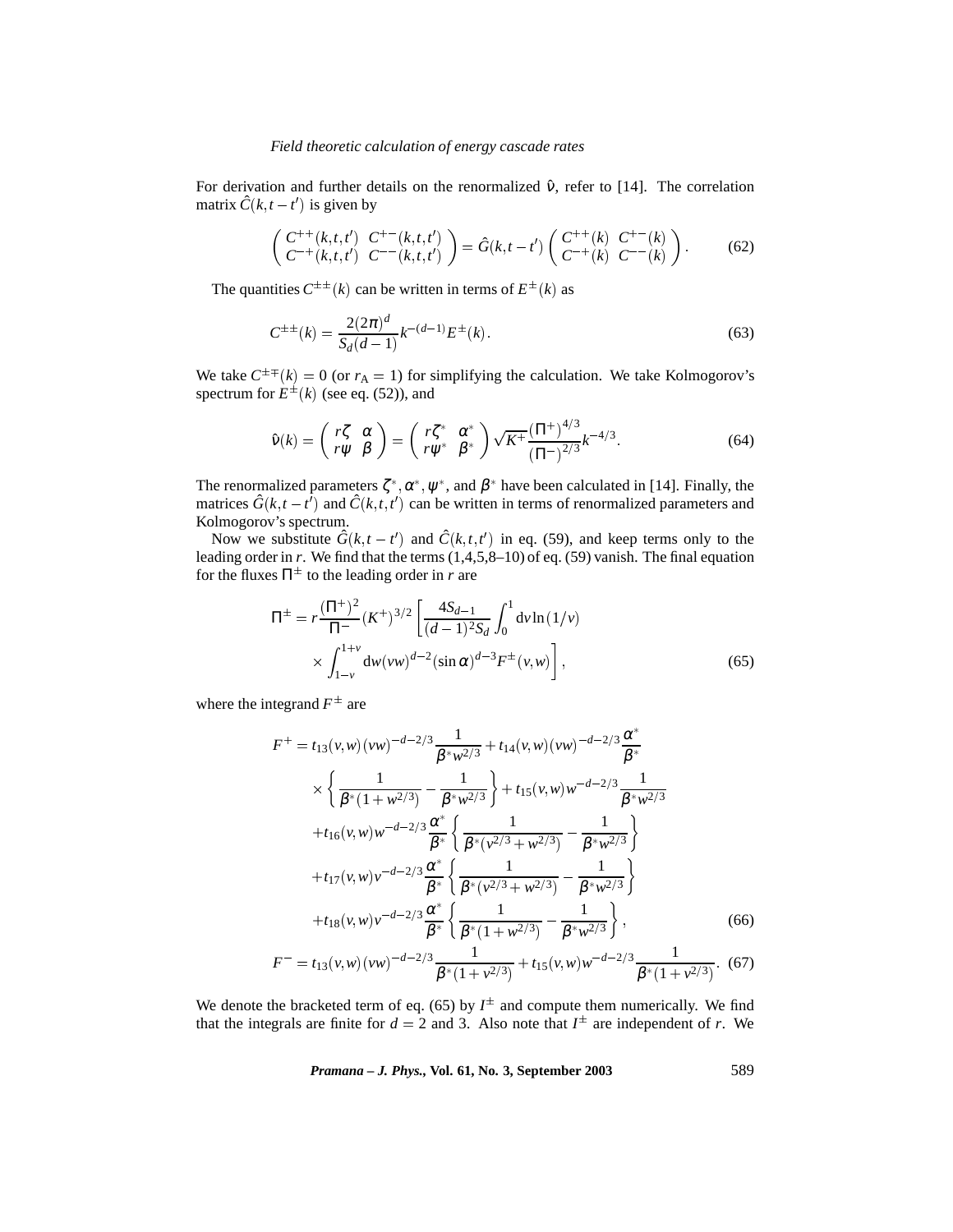For derivation and further details on the renormalized  $\hat{v}$ , refer to [14]. The correlation matrix  $\hat{C}(k, t-t')$  is given by

$$
\begin{pmatrix} C^{++}(k,t,t') & C^{+-}(k,t,t') \\ C^{-+}(k,t,t') & C^{--}(k,t,t') \end{pmatrix} = \hat{G}(k,t-t') \begin{pmatrix} C^{++}(k) & C^{+-}(k) \\ C^{-+}(k) & C^{--}(k) \end{pmatrix}.
$$
 (62)

The quantities  $C^{\pm\pm}(k)$  can be written in terms of  $E^{\pm}(k)$  as

$$
C^{\pm \pm}(k) = \frac{2(2\pi)^d}{S_d(d-1)} k^{-(d-1)} E^{\pm}(k).
$$
\n(63)

We take  $C^{\pm\mp}(k) = 0$  (or  $r_A = 1$ ) for simplifying the calculation. We take Kolmogorov's spectrum for  $E^{\pm}(k)$  (see eq. (52)), and

$$
\hat{v}(k) = \begin{pmatrix} r\zeta & \alpha \\ r\psi & \beta \end{pmatrix} = \begin{pmatrix} r\zeta^* & \alpha^* \\ r\psi^* & \beta^* \end{pmatrix} \sqrt{K^+} \frac{(\Pi^+)^{4/3}}{(\Pi^-)^{2/3}} k^{-4/3}.
$$
\n(64)

The renormalized parameters  $\zeta^*, \alpha^*, \psi^*$ , and  $\beta^*$  have been calculated in [14]. Finally, the matrices  $\hat{G}(k, t - t^{\hat{\prime}})$  and  $\hat{C}(k, t, t^{\prime})$  can be written in terms of renormalized parameters and Kolmogorov's spectrum.

Now we substitute  $\hat{G}(k, t - t')$  and  $\hat{C}(k, t, t')$  in eq. (59), and keep terms only to the leading order in *r*. We find that the terms (1,4,5,8–10) of eq. (59) vanish. The final equation for the fluxes  $\Pi^{\pm}$  to the leading order in *r* are

$$
\Pi^{\pm} = r \frac{(\Pi^{\pm})^2}{\Pi^-} (K^{\pm})^{3/2} \left[ \frac{4S_{d-1}}{(d-1)^2 S_d} \int_0^1 dv \ln(1/v) \times \int_{1-v}^{1+v} dw(vw)^{d-2} (\sin \alpha)^{d-3} F^{\pm}(v,w) \right],
$$
\n(65)

where the integrand  $F^{\pm}$  are

$$
F^{+} = t_{13}(v, w)(vw)^{-d-2/3}\frac{1}{\beta^{*}w^{2/3}} + t_{14}(v, w)(vw)^{-d-2/3}\frac{\alpha^{*}}{\beta^{*}}
$$
  
\n
$$
\times \left\{\frac{1}{\beta^{*}(1+w^{2/3})} - \frac{1}{\beta^{*}w^{2/3}}\right\} + t_{15}(v, w)w^{-d-2/3}\frac{1}{\beta^{*}w^{2/3}}
$$
  
\n
$$
+ t_{16}(v, w)w^{-d-2/3}\frac{\alpha^{*}}{\beta^{*}}\left\{\frac{1}{\beta^{*}(v^{2/3} + w^{2/3})} - \frac{1}{\beta^{*}w^{2/3}}\right\}
$$
  
\n
$$
+ t_{17}(v, w)v^{-d-2/3}\frac{\alpha^{*}}{\beta^{*}}\left\{\frac{1}{\beta^{*}(v^{2/3} + w^{2/3})} - \frac{1}{\beta^{*}w^{2/3}}\right\}
$$
  
\n
$$
+ t_{18}(v, w)v^{-d-2/3}\frac{\alpha^{*}}{\beta^{*}}\left\{\frac{1}{\beta^{*}(1+w^{2/3})} - \frac{1}{\beta^{*}w^{2/3}}\right\},
$$
  
\n
$$
F^{-} = t_{12}(v, w)(vw)^{-d-2/3}\frac{1}{\beta^{*}} + t_{15}(v, w)w^{-d-2/3}\frac{1}{\beta^{*}} \tag{66}
$$

$$
F^{-} = t_{13}(v, w)(vw)^{-d-2/3} \frac{1}{\beta^{*}(1 + v^{2/3})} + t_{15}(v, w)w^{-d-2/3} \frac{1}{\beta^{*}(1 + v^{2/3})}.
$$
 (67)

We denote the bracketed term of eq. (65) by  $I^{\pm}$  and compute them numerically. We find that the integrals are finite for  $d = 2$  and 3. Also note that  $I^{\pm}$  are independent of *r*. We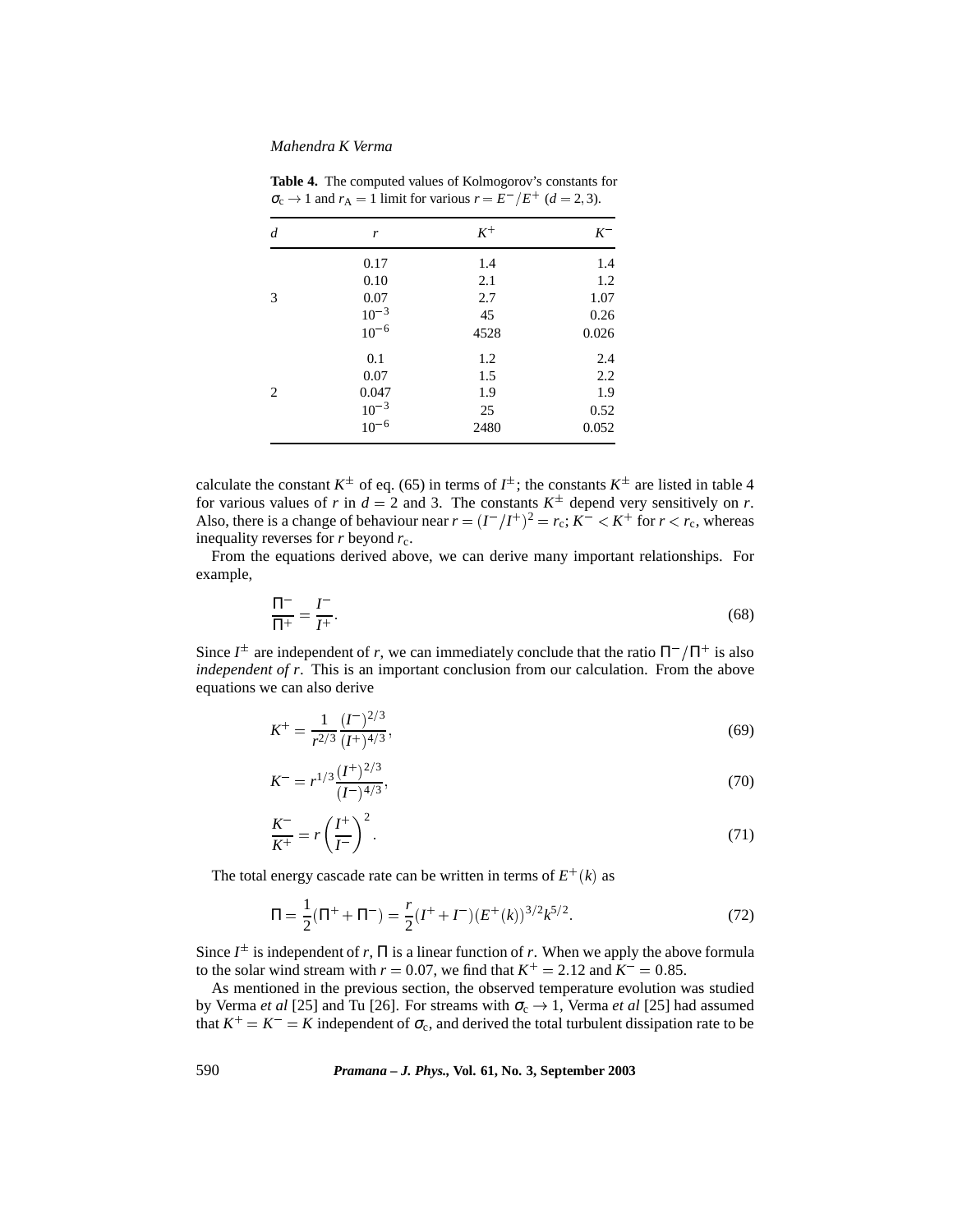| d | r                      | $K^+$ | $K^-$ |
|---|------------------------|-------|-------|
|   | 0.17                   | 1.4   | 1.4   |
|   | 0.10                   | 2.1   | 1.2   |
| 3 | 0.07                   | 2.7   | 1.07  |
|   | $10^{-3}$              | 45    | 0.26  |
|   | $10^{-6}$              | 4528  | 0.026 |
|   | 0.1                    | 1.2   | 2.4   |
|   | 0.07                   | 1.5   | 2.2   |
| 2 | 0.047                  | 1.9   | 1.9   |
|   |                        | 25    | 0.52  |
|   | $10^{-3}$<br>$10^{-6}$ | 2480  | 0.052 |

**Table 4.** The computed values of Kolmogorov's constants for  $\sigma_c \rightarrow 1$  and  $r_A = 1$  limit for various  $r = E^-/E^+$  ( $d = 2, 3$ ).

calculate the constant  $K^{\pm}$  of eq. (65) in terms of  $I^{\pm}$ ; the constants  $K^{\pm}$  are listed in table 4 for various values of *r* in  $d = 2$  and 3. The constants  $K^{\pm}$  depend very sensitively on *r*. Also, there is a change of behaviour near  $r = (I^{-}/I^{+})^{2} = r_{c}$ ;  $K^{-} < K^{+}$  for  $r < r_{c}$ , whereas inequality reverses for  $r$  beyond  $r_c$ .

From the equations derived above, we can derive many important relationships. For example,

$$
\frac{\Pi^-}{\Pi^+} = \frac{I^-}{I^+}.\tag{68}
$$

Since  $I^{\pm}$  are independent of *r*, we can immediately conclude that the ratio  $\Pi^{-}/\Pi^{+}$  is also *independent of r*. This is an important conclusion from our calculation. From the above equations we can also derive

$$
K^{+} = \frac{1}{r^{2/3}} \frac{(I^{-})^{2/3}}{(I^{+})^{4/3}},\tag{69}
$$

$$
K^{-} = r^{1/3} \frac{(I^{+})^{2/3}}{(I^{-})^{4/3}},
$$
\n(70)

$$
\frac{K^-}{K^+} = r \left(\frac{I^+}{I^-}\right)^2. \tag{71}
$$

The total energy cascade rate can be written in terms of  $E^+(k)$  as

$$
\Pi = \frac{1}{2}(\Pi^+ + \Pi^-) = \frac{r}{2}(I^+ + I^-)(E^+(k))^{3/2}k^{5/2}.
$$
\n(72)

Since  $I^{\pm}$  is independent of *r*,  $\Pi$  is a linear function of *r*. When we apply the above formula to the solar wind stream with  $r = 0.07$ , we find that  $K^+ = 2.12$  and  $K^- = 0.85$ .

As mentioned in the previous section, the observed temperature evolution was studied by Verma *et al* [25] and Tu [26]. For streams with  $\sigma_c \rightarrow 1$ , Verma *et al* [25] had assumed that  $K^+ = K^- = K$  independent of  $\sigma_c$ , and derived the total turbulent dissipation rate to be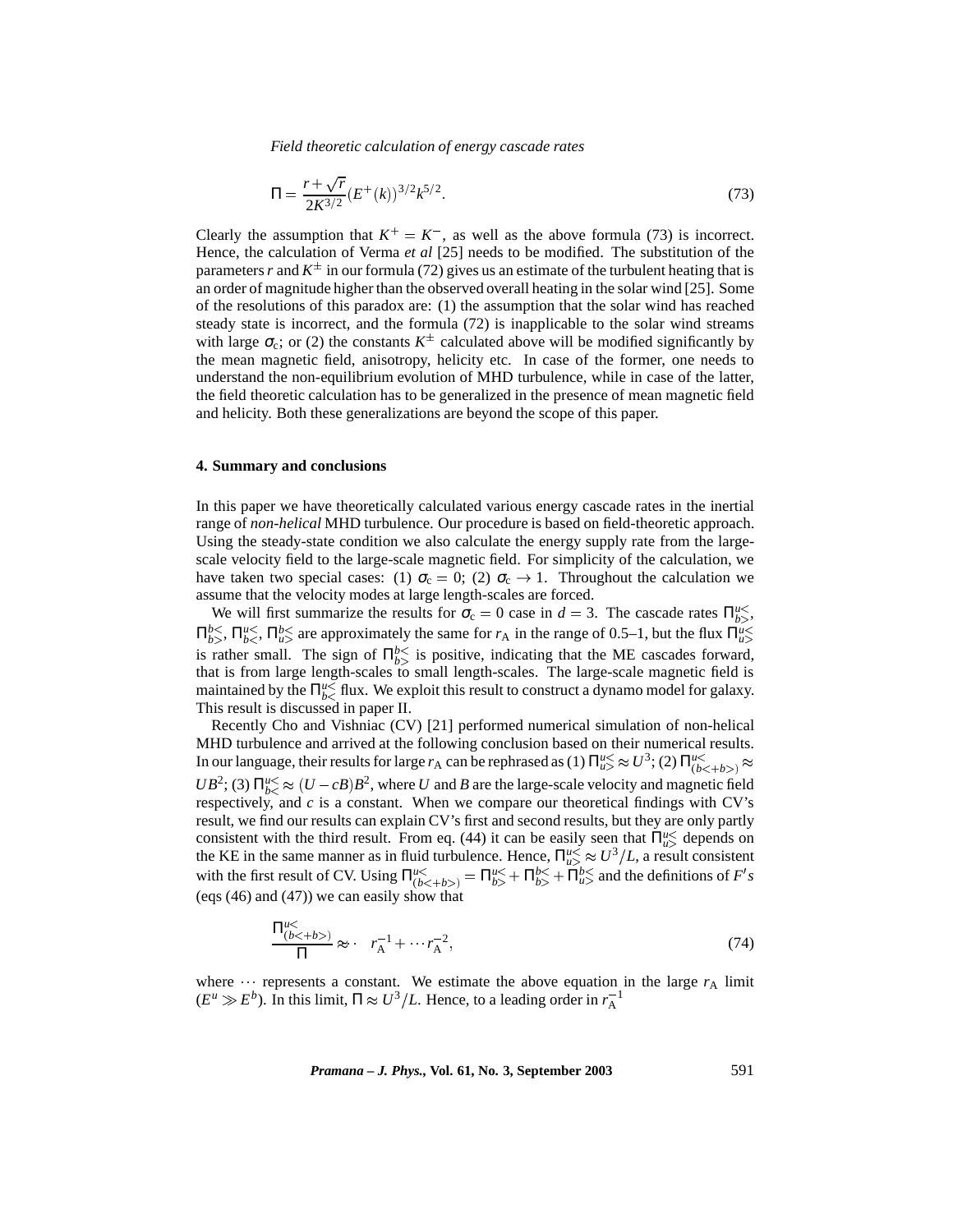$$
\Pi = \frac{r + \sqrt{r}}{2K^{3/2}} (E^+(k))^{3/2} k^{5/2}.
$$
\n(73)

Clearly the assumption that  $K^+ = K^-$ , as well as the above formula (73) is incorrect. Hence, the calculation of Verma *et al* [25] needs to be modified. The substitution of the parameters *r* and  $K^{\pm}$  in our formula (72) gives us an estimate of the turbulent heating that is an order of magnitude higher than the observed overall heating in the solar wind [25]. Some of the resolutions of this paradox are: (1) the assumption that the solar wind has reached steady state is incorrect, and the formula (72) is inapplicable to the solar wind streams with large  $\sigma_c$ ; or (2) the constants  $K^{\pm}$  calculated above will be modified significantly by the mean magnetic field, anisotropy, helicity etc. In case of the former, one needs to understand the non-equilibrium evolution of MHD turbulence, while in case of the latter, the field theoretic calculation has to be generalized in the presence of mean magnetic field and helicity. Both these generalizations are beyond the scope of this paper.

#### **4. Summary and conclusions**

Π*u*-

In this paper we have theoretically calculated various energy cascade rates in the inertial range of *non-helical* MHD turbulence. Our procedure is based on field-theoretic approach. Using the steady-state condition we also calculate the energy supply rate from the largescale velocity field to the large-scale magnetic field. For simplicity of the calculation, we have taken two special cases: (1)  $\sigma_c = 0$ ; (2)  $\sigma_c \rightarrow 1$ . Throughout the calculation we assume that the velocity modes at large length-scales are forced.

We will first summarize the results for  $\sigma_c = 0$  case in  $d = 3$ . The cascade rates  $\Pi_{b>}^{u\leq}$ ,  $\Pi_{b>}^{b<}$ ,  $\Pi_{b<}^{u<}$ ,  $\Pi_{u>}^{b<}$  are approximately the same for  $r_A$  in the range of 0.5–1, but the flux  $\Pi_{u>}^{u<}$  is rather small. The sign of  $\Pi_{b>}^{b<}$  is positive, indicating that the ME cascades forward, that is from large length-scales to small length-scales. The large-scale magnetic field is maintained by the  $\prod_{b<0}^{u<sub><</sub>}$  flux. We exploit this result to construct a dynamo model for galaxy. This result is discussed in paper II.

Recently Cho and Vishniac (CV) [21] performed numerical simulation of non-helical MHD turbulence and arrived at the following conclusion based on their numerical results. In our language, their results for large  $r_A$  can be rephrased as (1)  $\Pi_{u>}^{u} \approx U^3$ ; (2)  $\Pi_{(b < +b>}^{u} \approx$  $UB^2$ ; (3)  $\Pi_{b<}^{u<} \approx (U - cB)B^2$ , where *U* and *B* are the large-scale velocity and magnetic field respectively, and  $c$  is a constant. When we compare our theoretical findings with CV's result, we find our results can explain CV's first and second results, but they are only partly consistent with the third result. From eq. (44) it can be easily seen that  $\Pi_{u>}^{u\leq}$  depends on the KE in the same manner as in fluid turbulence. Hence,  $\prod_{u>u}^{u<} \approx U^3/L$ , a result consistent with the first result of CV. Using  $\Pi_{(b < +b>}^{u <} = \Pi_{b>}^{u <} + \Pi_{b>}^{b <} + \Pi_{u>}^{b <}$  and the definitions of *F's* (eqs (46) and (47)) we can easily show that

$$
\frac{\Pi_{(b<+b>)}^{u<}}{\Pi} \approx r_A^{-1} + \cdots r_A^{-2},\tag{74}
$$

where **represents a constant.** We estimate the above equation in the large  $r_A$  limit  $(E^u \gg E^b)$ . In this limit,  $\Pi \approx U^3/L$ . Hence, to a leading order in  $r_A^{-1}$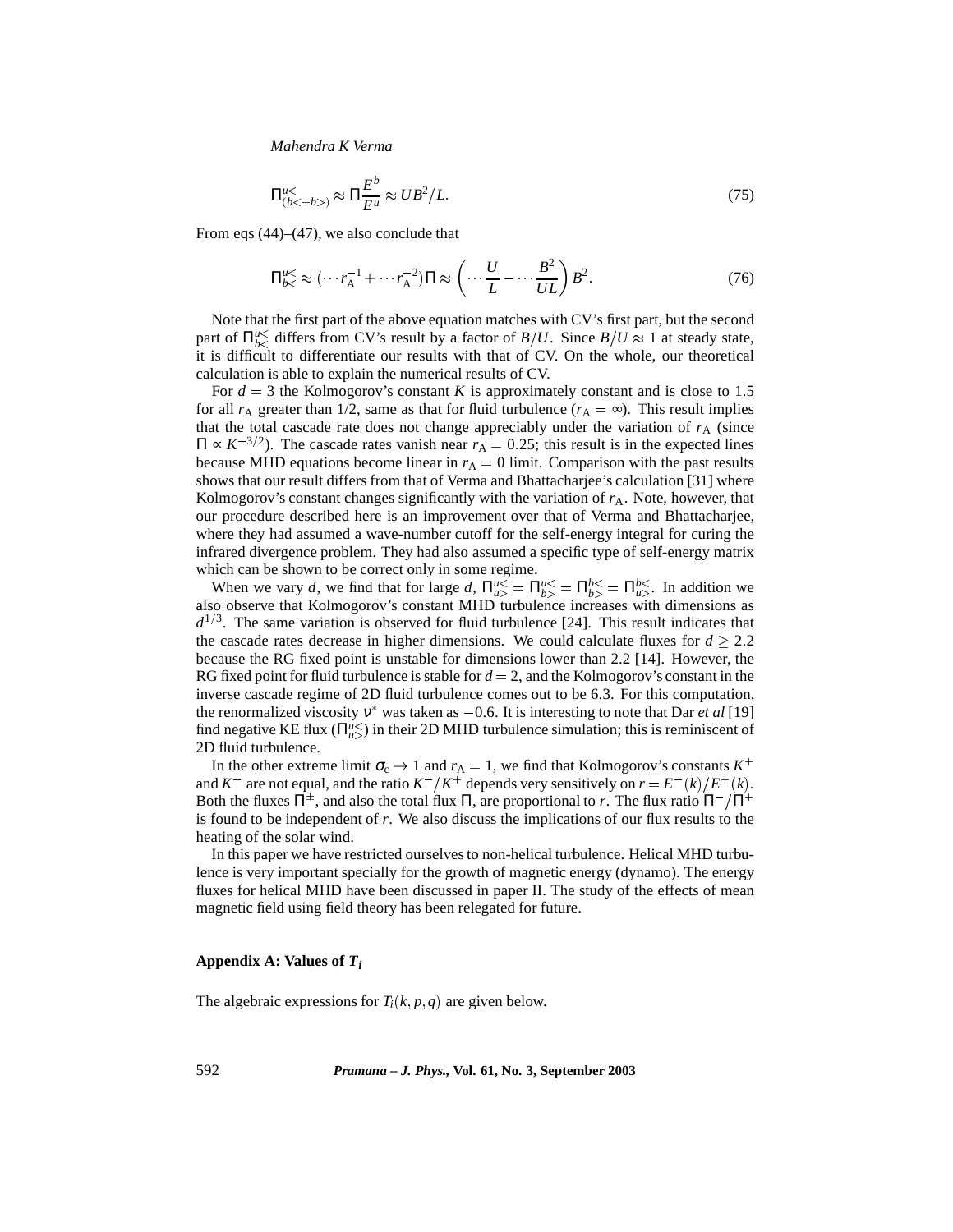$$
\Pi_{(b<+b>)}^{u<<} \approx \Pi \frac{E^b}{E^u} \approx U B^2 / L. \tag{75}
$$

From eqs  $(44)$ – $(47)$ , we also conclude that

$$
\Pi_{b<}^{u<} \approx (\cdots r_{A}^{-1} + \cdots r_{A}^{-2})\Pi \approx \left(\cdots \frac{U}{L} - \cdots \frac{B^{2}}{UL}\right)B^{2}.
$$
 (76)

Note that the first part of the above equation matches with CV's first part, but the second part of  $\Pi_{b<sub>0</sub>}^{u<sub>0</sub>}$  differs from CV's result by a factor of *B*/*U*. Since *B*/*U*  $\approx$  1 at steady state, it is difficult to differentiate our results with that of CV. On the whole, our theoretical calculation is able to explain the numerical results of CV.

For  $d = 3$  the Kolmogorov's constant *K* is approximately constant and is close to 1.5 for all  $r_A$  greater than 1/2, same as that for fluid turbulence  $(r_A = \infty)$ . This result implies that the total cascade rate does not change appreciably under the variation of  $r_A$  (since  $\Pi \propto K^{-3/2}$ ). The cascade rates vanish near  $r_A = 0.25$ ; this result is in the expected lines because MHD equations become linear in  $r_A = 0$  limit. Comparison with the past results shows that our result differs from that of Verma and Bhattacharjee's calculation [31] where Kolmogorov's constant changes significantly with the variation of  $r_A$ . Note, however, that our procedure described here is an improvement over that of Verma and Bhattacharjee, where they had assumed a wave-number cutoff for the self-energy integral for curing the infrared divergence problem. They had also assumed a specific type of self-energy matrix which can be shown to be correct only in some regime.

When we vary *d*, we find that for large *d*,  $\Pi_{u>}^{u} = \Pi_{b>}^{u} = \Pi_{b>}^{b} = \Pi_{u>}^{b}$ . In addition we also observe that Kolmogorov's constant MHD turbulence increases with dimensions as  $d^{1/3}$ . The same variation is observed for fluid turbulence [24]. This result indicates that the cascade rates decrease in higher dimensions. We could calculate fluxes for  $d \geq 2.2$ because the RG fixed point is unstable for dimensions lower than 2.2 [14]. However, the RG fixed point for fluid turbulence is stable for  $d = 2$ , and the Kolmogorov's constant in the inverse cascade regime of 2D fluid turbulence comes out to be 6.3. For this computation, the renormalized viscosity  $v^*$  was taken as  $-0.6$ . It is interesting to note that Dar *et al* [19] find negative KE flux  $(\Pi_{u>u}^{u\leq})$  in their 2D MHD turbulence simulation; this is reminiscent of 2D fluid turbulence.

In the other extreme limit  $\sigma_c \rightarrow 1$  and  $r_A = 1$ , we find that Kolmogorov's constants  $K^+$ and  $K^-$  are not equal, and the ratio  $K^-/K^+$  depends very sensitively on  $r = E^-(k)/E^+(k)$ . Both the fluxes  $\Pi^{\pm}$ , and also the total flux  $\Pi$ , are proportional to *r*. The flux ratio  $\Pi^-/\Pi^+$ is found to be independent of *r*. We also discuss the implications of our flux results to the heating of the solar wind.

In this paper we have restricted ourselves to non-helical turbulence. Helical MHD turbulence is very important specially for the growth of magnetic energy (dynamo). The energy fluxes for helical MHD have been discussed in paper II. The study of the effects of mean magnetic field using field theory has been relegated for future.

#### **Appendix A: Values of** *Ti*

The algebraic expressions for  $T_i(k, p, q)$  are given below.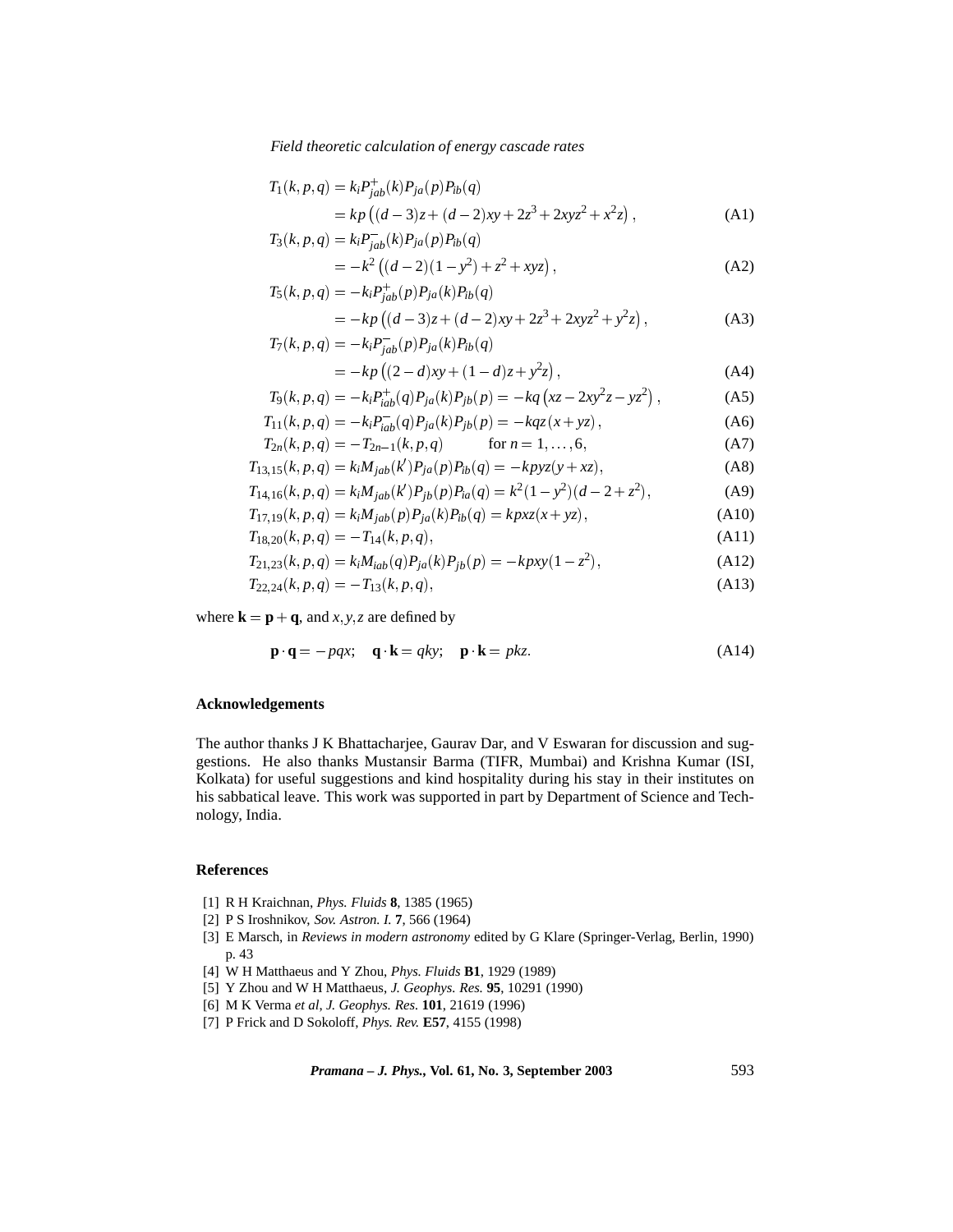$$
T_1(k, p, q) = k_i P_{jab}^+(k) P_{ja}(p) P_{ib}(q)
$$
  
=  $kp ((d-3)z + (d-2)xy + 2z^3 + 2xyz^2 + x^2z)$ , (A1)

$$
T_3(k, p, q) = k_i P_{jab}^{-}(k) P_{ja}(p) P_{ib}(q)
$$
  
=  $-k^2 ((d-2)(1 - y^2) + z^2 + xyz)$ , (A2)

$$
T_5(k, p, q) = -k_i P_{jab}^+(p) P_{ja}(k) P_{ib}(q)
$$

$$
= -kp ((d-3)z + (d-2)xy + 2z3 + 2xyz2 + y2z),
$$
\n(A3)  
\n
$$
T_7(k, p, q) = -k_i P_{jab}^-(p) P_{ja}(k) P_{ib}(q)
$$

$$
= -kp((2-d)xy + (1-d)z + y2z),
$$
 (A4)

$$
T_9(k, p, q) = -k_i P_{iab}^+(q) P_{ja}(k) P_{jb}(p) = -kq (xz - 2xy^2z - yz^2), \qquad (A5)
$$

$$
T_{11}(k, p, q) = -k_i P_{iab}(q) P_{ja}(k) P_{jb}(p) = -kqz(x + yz),
$$
 (A6)

$$
T_{2n}(k, p, q) = -T_{2n-1}(k, p, q) \qquad \text{for } n = 1, ..., 6,
$$
  
\n
$$
T_{12,15}(k, p, q) = k M_{i,b}(k') P_{i,b}(p) P_{i,b}(q) = -k p v z(v + x z).
$$
 (A3)

$$
T_{13,15}(k,p,q) = k_i M_{jab}(k') P_{ja}(p) P_{ib}(q) = -kpyz(y+xz),
$$
\n
$$
T_{13,15}(k,p,q) = k_i M_{13,1}(k') P_{ja}(p) P_{ib}(q) = k^2 (1 - y^2)(d - 2 + z^2)
$$
\n(A8)

$$
T_{14,16}(k,p,q) = k_i M_{jab}(k') P_{jb}(p) P_{ia}(q) = k^2 (1 - y^2)(d - 2 + z^2),
$$
\n(A9)

$$
T_{17,19}(k,p,q) = k_i M_{jab}(p) P_{ja}(k) P_{ib}(q) = kpxz(x+yz),
$$
\n(A10)

$$
T_{18,20}(k,p,q) = -T_{14}(k,p,q),\tag{A11}
$$

$$
T_{21,23}(k, p, q) = k_i M_{iab}(q) P_{ja}(k) P_{jb}(p) = -k pxy(1 - z^2),
$$
\n(A12)

$$
T_{22,24}(k,p,q) = -T_{13}(k,p,q),\tag{A13}
$$

where  $\mathbf{k} = \mathbf{p} + \mathbf{q}$ , and *x*, *y*, *z* are defined by

$$
\mathbf{p} \cdot \mathbf{q} = -pqx; \quad \mathbf{q} \cdot \mathbf{k} = qky; \quad \mathbf{p} \cdot \mathbf{k} = pkz
$$
 (A14)

## **Acknowledgements**

The author thanks J K Bhattacharjee, Gaurav Dar, and V Eswaran for discussion and suggestions. He also thanks Mustansir Barma (TIFR, Mumbai) and Krishna Kumar (ISI, Kolkata) for useful suggestions and kind hospitality during his stay in their institutes on his sabbatical leave. This work was supported in part by Department of Science and Technology, India.

# **References**

- [1] R H Kraichnan, *Phys. Fluids* **8**, 1385 (1965)
- [2] P S Iroshnikov, *Sov. Astron. I.* **7**, 566 (1964)
- [3] E Marsch, in *Reviews in modern astronomy* edited by G Klare (Springer-Verlag, Berlin, 1990) p. 43
- [4] W H Matthaeus and Y Zhou, *Phys. Fluids* **B1**, 1929 (1989)
- [5] Y Zhou and W H Matthaeus, *J. Geophys. Res.* **95**, 10291 (1990)
- [6] M K Verma *et al*, *J. Geophys. Res.* **101**, 21619 (1996)
- [7] P Frick and D Sokoloff, *Phys. Rev.* **E57**, 4155 (1998)